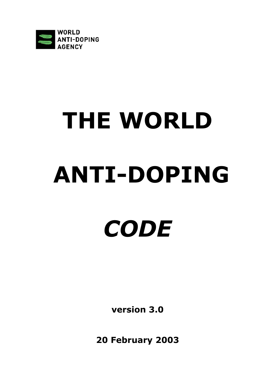

# **THE WORLD ANTI-DOPING**  *CODE*

**version 3.0** 

**20 February 2003**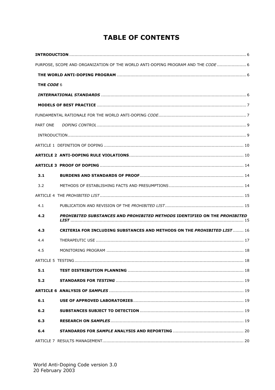# **TABLE OF CONTENTS**

|            | PURPOSE, SCOPE AND ORGANIZATION OF THE WORLD ANTI-DOPING PROGRAM AND THE CODE  6 |
|------------|----------------------------------------------------------------------------------|
|            |                                                                                  |
| THE CODE 6 |                                                                                  |
|            |                                                                                  |
|            |                                                                                  |
|            |                                                                                  |
| PART ONE   |                                                                                  |
|            |                                                                                  |
|            |                                                                                  |
|            |                                                                                  |
|            |                                                                                  |
| 3.1        |                                                                                  |
| 3.2        |                                                                                  |
|            |                                                                                  |
| 4.1        |                                                                                  |
| 4.2        | PROHIBITED SUBSTANCES AND PROHIBITED METHODS IDENTIFIED ON THE PROHIBITED        |
| 4.3        | CRITERIA FOR INCLUDING SUBSTANCES AND METHODS ON THE PROHIBITED LIST  16         |
| 4.4        |                                                                                  |
| 4.5        |                                                                                  |
|            | 18                                                                               |
| 5.1        |                                                                                  |
| 5.2        |                                                                                  |
|            |                                                                                  |
| 6.1        |                                                                                  |
| 6.2        |                                                                                  |
| 6.3        |                                                                                  |
| 6.4        |                                                                                  |
|            |                                                                                  |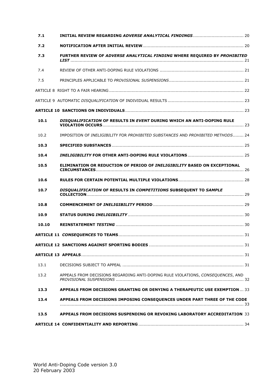| 7.1   |                                                                                  |  |
|-------|----------------------------------------------------------------------------------|--|
| 7.2   |                                                                                  |  |
| 7.3   | FURTHER REVIEW OF ADVERSE ANALYTICAL FINDING WHERE REQUIRED BY PROHIBITED        |  |
| 7.4   |                                                                                  |  |
| 7.5   |                                                                                  |  |
|       |                                                                                  |  |
|       |                                                                                  |  |
|       |                                                                                  |  |
| 10.1  | DISQUALIFICATION OF RESULTS IN EVENT DURING WHICH AN ANTI-DOPING RULE            |  |
| 10.2  | IMPOSITION OF INELIGIBILITY FOR PROHIBITED SUBSTANCES AND PROHIBITED METHODS 24  |  |
| 10.3  |                                                                                  |  |
| 10.4  |                                                                                  |  |
| 10.5  | ELIMINATION OR REDUCTION OF PERIOD OF INELIGIBILITY BASED ON EXCEPTIONAL         |  |
| 10.6  |                                                                                  |  |
| 10.7  | DISQUALIFICATION OF RESULTS IN COMPETITIONS SUBSEQUENT TO SAMPLE                 |  |
| 10.8  |                                                                                  |  |
| 10.9  |                                                                                  |  |
| 10.10 |                                                                                  |  |
|       |                                                                                  |  |
|       |                                                                                  |  |
|       |                                                                                  |  |
| 13.1  |                                                                                  |  |
| 13.2  | APPEALS FROM DECISIONS REGARDING ANTI-DOPING RULE VIOLATIONS, CONSEQUENCES, AND  |  |
| 13.3  | <b>APPEALS FROM DECISIONS GRANTING OR DENYING A THERAPEUTIC USE EXEMPTION 33</b> |  |
| 13.4  | APPEALS FROM DECISIONS IMPOSING CONSEQUENCES UNDER PART THREE OF THE CODE        |  |
| 13.5  | <b>APPEALS FROM DECISIONS SUSPENDING OR REVOKING LABORATORY ACCREDITATION 33</b> |  |
|       |                                                                                  |  |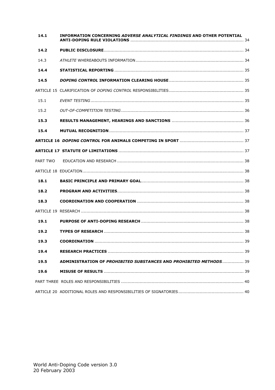| 14.1     | INFORMATION CONCERNING ADVERSE ANALYTICAL FINDINGS AND OTHER POTENTIAL   |
|----------|--------------------------------------------------------------------------|
| 14.2     |                                                                          |
| 14.3     |                                                                          |
| 14.4     |                                                                          |
| 14.5     |                                                                          |
|          |                                                                          |
| 15.1     |                                                                          |
| 15.2     |                                                                          |
| 15.3     |                                                                          |
| 15.4     |                                                                          |
|          |                                                                          |
|          |                                                                          |
| PART TWO |                                                                          |
|          |                                                                          |
| 18.1     |                                                                          |
| 18.2     |                                                                          |
| 18.3     |                                                                          |
|          |                                                                          |
| 19.1     |                                                                          |
| 19.2     |                                                                          |
| 19.3     |                                                                          |
| 19.4     |                                                                          |
| 19.5     | <b>ADMINISTRATION OF PROHIBITED SUBSTANCES AND PROHIBITED METHODS 39</b> |
| 19.6     |                                                                          |
|          |                                                                          |
|          |                                                                          |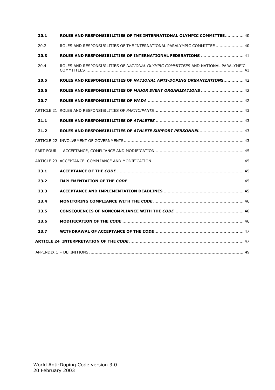| 20.1             | ROLES AND RESPONSIBILITIES OF THE INTERNATIONAL OLYMPIC COMMITTEE 40              |
|------------------|-----------------------------------------------------------------------------------|
| 20.2             | ROLES AND RESPONSIBILITIES OF THE INTERNATIONAL PARALYMPIC COMMITTEE  40          |
| 20.3             | ROLES AND RESPONSIBILITIES OF INTERNATIONAL FEDERATIONS  41                       |
| 20.4             | ROLES AND RESPONSIBILITIES OF NATIONAL OLYMPIC COMMITTEES AND NATIONAL PARALYMPIC |
| 20.5             | ROLES AND RESPONSIBILITIES OF NATIONAL ANTI-DOPING ORGANIZATIONS 42               |
| 20.6             | ROLES AND RESPONSIBILITIES OF MAJOR EVENT ORGANIZATIONS  42                       |
| 20.7             |                                                                                   |
|                  |                                                                                   |
| 21.1             |                                                                                   |
| 21.2             | ROLES AND RESPONSIBILITIES OF ATHLETE SUPPORT PERSONNEL 43                        |
|                  |                                                                                   |
| <b>PART FOUR</b> |                                                                                   |
|                  |                                                                                   |
| 23.1             |                                                                                   |
| 23.2             |                                                                                   |
| 23.3             |                                                                                   |
| 23.4             |                                                                                   |
| 23.5             |                                                                                   |
| 23.6             |                                                                                   |
| 23.7             |                                                                                   |
|                  |                                                                                   |
|                  |                                                                                   |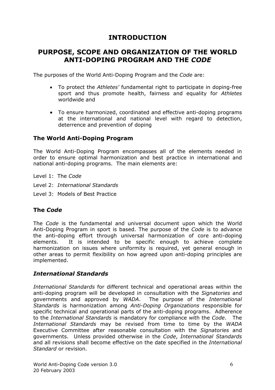# **INTRODUCTION**

# <span id="page-5-0"></span>**PURPOSE, SCOPE AND ORGANIZATION OF THE WORLD ANTI-DOPING PROGRAM AND THE** *CODE*

The purposes of the World Anti-Doping Program and the *Code* are:

- To protect the *Athletes'* fundamental right to participate in doping-free sport and thus promote health, fairness and equality for *Athletes* worldwide and
- To ensure harmonized, coordinated and effective anti-doping programs at the international and national level with regard to detection, deterrence and prevention of doping

## **The World Anti-Doping Program**

The World Anti-Doping Program encompasses all of the elements needed in order to ensure optimal harmonization and best practice in international and national anti-doping programs. The main elements are:

Level 1: The *Code* Level 2: *International Standards* Level 3: Models of Best Practice

# **The** *Code*

The *Code* is the fundamental and universal document upon which the World Anti-Doping Program in sport is based. The purpose of the *Code* is to advance the anti-doping effort through universal harmonization of core anti-doping elements. It is intended to be specific enough to achieve complete harmonization on issues where uniformity is required, yet general enough in other areas to permit flexibility on how agreed upon anti-doping principles are implemented.

## *International Standards*

*International Standards* for different technical and operational areas within the anti-doping program will be developed in consultation with the *Signatories* and governments and approved by *WADA*. The purpose of the *International Standards* is harmonization among *Anti-Doping Organizations* responsible for specific technical and operational parts of the anti-doping programs. Adherence to the *International Standards* is mandatory for compliance with the *Code*. The *International Standards* may be revised from time to time by the *WADA* Executive Committee after reasonable consultation with the *Signatories* and governments. Unless provided otherwise in the *Code*, *International Standards* and all revisions shall become effective on the date specified in the *International Standard* or revision.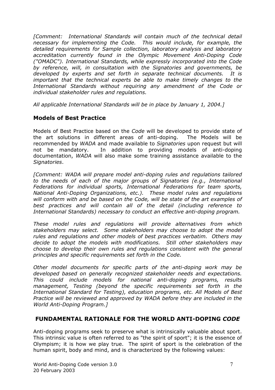<span id="page-6-0"></span>*[Comment: International Standards will contain much of the technical detail necessary for implementing the Code. This would include, for example, the detailed requirements for Sample collection, laboratory analysis and laboratory accreditation currently found in the Olympic Movement Anti-Doping Code ("OMADC"). International Standards, while expressly incorporated into the Code by reference, will, in consultation with the Signatories and governments, be developed by experts and set forth in separate technical documents. It is important that the technical experts be able to make timely changes to the International Standards without requiring any amendment of the Code or individual stakeholder rules and regulations.* 

*All applicable International Standards will be in place by January 1, 2004.]* 

# **Models of Best Practice**

Models of Best Practice based on the *Code* will be developed to provide state of the art solutions in different areas of anti-doping. The Models will be recommended by *WADA* and made available to *Signatories* upon request but will not be mandatory. In addition to providing models of anti-doping documentation, *WADA* will also make some training assistance available to the *Signatories*.

*[Comment: WADA will prepare model anti-doping rules and regulations tailored to the needs of each of the major groups of Signatories (e.g., International Federations for individual sports, International Federations for team sports, National Anti-Doping Organizations, etc.). These model rules and regulations will conform with and be based on the Code, will be state of the art examples of best practices and will contain all of the detail (including reference to International Standards) necessary to conduct an effective anti-doping program.* 

*These model rules and regulations will provide alternatives from which stakeholders may select. Some stakeholders may choose to adopt the model rules and regulations and other models of best practices verbatim. Others may decide to adopt the models with modifications. Still other stakeholders may choose to develop their own rules and regulations consistent with the general principles and specific requirements set forth in the Code.* 

*Other model documents for specific parts of the anti-doping work may be developed based on generally recognized stakeholder needs and expectations. This could include models for national anti-doping programs, results management, Testing (beyond the specific requirements set forth in the International Standard for Testing), education programs, etc. All Models of Best Practice will be reviewed and approved by WADA before they are included in the World Anti-Doping Program.]*

# **FUNDAMENTAL RATIONALE FOR THE WORLD ANTI-DOPING** *CODE*

Anti-doping programs seek to preserve what is intrinsically valuable about sport. This intrinsic value is often referred to as "the spirit of sport"; it is the essence of Olympism; it is how we play true. The spirit of sport is the celebration of the human spirit, body and mind, and is characterized by the following values: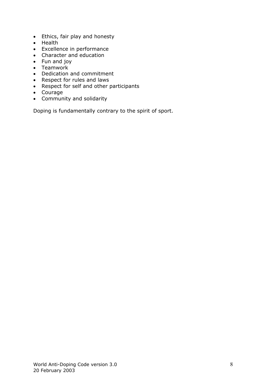- Ethics, fair play and honesty
- Health
- Excellence in performance
- Character and education
- Fun and joy
- Teamwork
- Dedication and commitment
- Respect for rules and laws
- Respect for self and other participants
- Courage
- Community and solidarity

Doping is fundamentally contrary to the spirit of sport.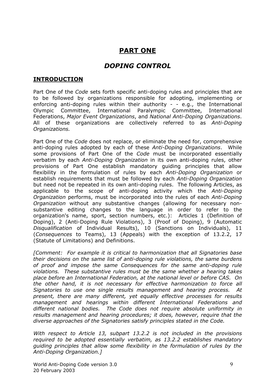# **PART ONE**

# *DOPING CONTROL*

## <span id="page-8-0"></span>**INTRODUCTION**

Part One of the *Code* sets forth specific anti-doping rules and principles that are to be followed by organizations responsible for adopting, implementing or enforcing anti-doping rules within their authority  $-$  e.g., the International Olympic Committee, International Paralympic Committee, International Federations, *Major Event Organizations*, and *National Anti-Doping Organizations*. All of these organizations are collectively referred to as *Anti-Doping Organizations.* 

Part One of the *Code* does not replace, or eliminate the need for, comprehensive anti-doping rules adopted by each of these *Anti-Doping Organizations*. While some provisions of Part One of the *Code* must be incorporated essentially verbatim by each *Anti-Doping Organization* in its own anti-doping rules, other provisions of Part One establish mandatory guiding principles that allow flexibility in the formulation of rules by each *Anti-Doping Organization* or establish requirements that must be followed by each *Anti-Doping Organization* but need not be repeated in its own anti-doping rules. The following Articles, as applicable to the scope of anti-doping activity which the *Anti-Doping Organization* performs, must be incorporated into the rules of each *Anti-Doping Organization* without any substantive changes (allowing for necessary nonsubstantive editing changes to the language in order to refer to the organization's name, sport, section numbers, etc.): Articles 1 (Definition of Doping), 2 (Anti-Doping Rule Violations), 3 (Proof of Doping), 9 (Automatic *Disqualification* of Individual Results), 10 (Sanctions on Individuals), 11 (*Consequences* to Teams), 13 (Appeals) with the exception of 13.2.2, 17 (Statute of Limitations) and Definitions.

*[Comment: For example it is critical to harmonization that all Signatories base their decisions on the same list of anti-doping rule violations, the same burdens of proof and impose the same Consequences for the same anti-doping rule violations. These substantive rules must be the same whether a hearing takes place before an International Federation, at the national level or before CAS. On the other hand, it is not necessary for effective harmonization to force all Signatories to use one single results management and hearing process. At present, there are many different, yet equally effective processes for results management and hearings within different International Federations and different national bodies. The Code does not require absolute uniformity in results management and hearing procedures; it does, however, require that the diverse approaches of the Signatories satisfy principles stated in the Code.* 

*With respect to Article 13, subpart 13.2.2 is not included in the provisions required to be adopted essentially verbatim, as 13.2.2 establishes mandatory guiding principles that allow some flexibility in the formulation of rules by the Anti-Doping Organization.]*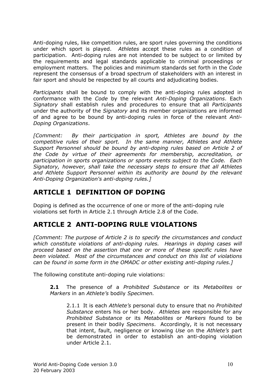<span id="page-9-0"></span>Anti-doping rules, like competition rules, are sport rules governing the conditions under which sport is played. *Athletes* accept these rules as a condition of participation. Anti-doping rules are not intended to be subject to or limited by the requirements and legal standards applicable to criminal proceedings or employment matters. The policies and minimum standards set forth in the *Code* represent the consensus of a broad spectrum of stakeholders with an interest in fair sport and should be respected by all courts and adjudicating bodies.

*Participants* shall be bound to comply with the anti-doping rules adopted in conformance with the *Code* by the relevant *Anti-Doping Organizations*. Each *Signatory* shall establish rules and procedures to ensure that all *Participants* under the authority of the *Signatory* and its member organizations are informed of and agree to be bound by anti-doping rules in force of the relevant *Anti-Doping Organizations*.

*[Comment: By their participation in sport, Athletes are bound by the competitive rules of their sport. In the same manner, Athletes and Athlete Support Personnel should be bound by anti-doping rules based on Article 2 of the Code by virtue of their agreements for membership, accreditation, or participation in sports organizations or sports events subject to the Code. Each Signatory, however, shall take the necessary steps to ensure that all Athletes and Athlete Support Personnel within its authority are bound by the relevant Anti-Doping Organization's anti-doping rules.]* 

# **ARTICLE 1 DEFINITION OF DOPING**

Doping is defined as the occurrence of one or more of the anti-doping rule violations set forth in Article 2.1 through Article 2.8 of the Code.

# **ARTICLE 2 ANTI-DOPING RULE VIOLATIONS**

*[Comment: The purpose of Article 2 is to specify the circumstances and conduct which constitute violations of anti-doping rules. Hearings in doping cases will proceed based on the assertion that one or more of these specific rules have been violated. Most of the circumstances and conduct on this list of violations can be found in some form in the OMADC or other existing anti-doping rules.]* 

The following constitute anti-doping rule violations:

**2.1** The presence of a *Prohibited Substance* or its *Metabolites* or *Markers* in an *Athlete's* bodily *Specimen.*

2.1.1 It is each *Athlete's* personal duty to ensure that no *Prohibited Substance* enters his or her body. *Athletes* are responsible for any *Prohibited Substance* or its *Metabolites* or *Markers* found to be present in their bodily *Specimens*. Accordingly, it is not necessary that intent, fault, negligence or knowing *Use* on the *Athlete's* part be demonstrated in order to establish an anti-doping violation under Article 2.1.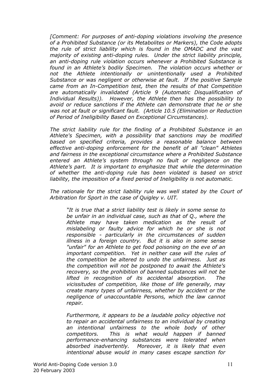*[Comment: For purposes of anti-doping violations involving the presence of a Prohibited Substance (or its Metabolites or Markers), the Code adopts the rule of strict liability which is found in the OMADC and the vast majority of existing anti-doping rules. Under the strict liability principle, an anti-doping rule violation occurs whenever a Prohibited Substance is found in an Athlete's bodily Specimen. The violation occurs whether or not the Athlete intentionally or unintentionally used a Prohibited Substance or was negligent or otherwise at fault. If the positive Sample came from an In-Competition test, then the results of that Competition are automatically invalidated (Article 9 (Automatic Disqualification of Individual Results)). However, the Athlete then has the possibility to avoid or reduce sanctions if the Athlete can demonstrate that he or she was not at fault or significant fault. (Article 10.5 (Elimination or Reduction of Period of Ineligibility Based on Exceptional Circumstances).*

*The strict liability rule for the finding of a Prohibited Substance in an Athlete's Specimen, with a possibility that sanctions may be modified based on specified criteria, provides a reasonable balance between effective anti-doping enforcement for the benefit of all "clean" Athletes and fairness in the exceptional circumstance where a Prohibited Substance entered an Athlete's system through no fault or negligence on the Athlete's part. It is important to emphasize that while the determination of whether the anti-doping rule has been violated is based on strict liability, the imposition of a fixed period of Ineligibility is not automatic.* 

*The rationale for the strict liability rule was well stated by the Court of Arbitration for Sport in the case of Quigley v. UIT.* 

*"It is true that a strict liability test is likely in some sense to be unfair in an individual case, such as that of Q., where the Athlete may have taken medication as the result of mislabeling or faulty advice for which he or she is not responsible - particularly in the circumstances of sudden illness in a foreign country. But it is also in some sense "unfair" for an Athlete to get food poisoning on the eve of an important competition. Yet in neither case will the rules of the competition be altered to undo the unfairness. Just as the competition will not be postponed to await the Athlete's recovery, so the prohibition of banned substances will not be lifted in recognition of its accidental absorption. The vicissitudes of competition, like those of life generally, may create many types of unfairness, whether by accident or the negligence of unaccountable Persons, which the law cannot repair.* 

*Furthermore, it appears to be a laudable policy objective not to repair an accidental unfairness to an individual by creating an intentional unfairness to the whole body of other competitors. This is what would happen if banned performance-enhancing substances were tolerated when absorbed inadvertently. Moreover, it is likely that even intentional abuse would in many cases escape sanction for*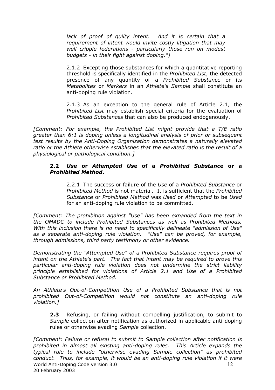*lack of proof of guilty intent. And it is certain that a requirement of intent would invite costly litigation that may well cripple federations - particularly those run on modest budgets - in their fight against doping."]* 

2.1.2 Excepting those substances for which a quantitative reporting threshold is specifically identified in the *Prohibited List*, the detected presence of any quantity of a *Prohibited Substance* or its *Metabolites* or *Markers* in an *Athlete's Sample* shall constitute an anti-doping rule violation.

2.1.3 As an exception to the general rule of Article 2.1, the *Prohibited List* may establish special criteria for the evaluation of *Prohibited Substances* that can also be produced endogenously.

*[Comment: For example, the Prohibited List might provide that a T/E ratio greater than 6:1 is doping unless a longitudinal analysis of prior or subsequent test results by the Anti-Doping Organization demonstrates a naturally elevated ratio or the Athlete otherwise establishes that the elevated ratio is the result of a physiological or pathological condition.]* 

#### **2.2** *Use* **or** *Attempted Use* **of a** *Prohibited Substance* **or a** *Prohibited Method***.**

2.2.1 The success or failure of the *Use* of a *Prohibited Substance* or *Prohibited Method* is not material. It is sufficient that the *Prohibited Substance* or *Prohibited Method* was *Used* or *Attempted* to be *Used* for an anti-doping rule violation to be committed.

*[Comment: The prohibition against "Use" has been expanded from the text in the OMADC to include Prohibited Substances as well as Prohibited Methods. With this inclusion there is no need to specifically delineate "admission of Use" as a separate anti-doping rule violation. "Use" can be proved, for example, through admissions, third party testimony or other evidence.* 

*Demonstrating the "Attempted Use" of a Prohibited Substance requires proof of intent on the Athlete's part. The fact that intent may be required to prove this particular anti-doping rule violation does not undermine the strict liability principle established for violations of Article 2.1 and Use of a Prohibited Substance or Prohibited Method.* 

*An Athlete's Out-of-Competition Use of a Prohibited Substance that is not prohibited Out-of-Competition would not constitute an anti-doping rule violation.]*

**2.3** Refusing, or failing without compelling justification, to submit to *Sample* collection after notification as authorized in applicable anti-doping rules or otherwise evading *Sample* collection.

World Anti-Doping Code version 3.0 12 20 February 2003 *[Comment: Failure or refusal to submit to Sample collection after notification is prohibited in almost all existing anti-doping rules. This Article expands the typical rule to include "otherwise evading Sample collection" as prohibited conduct. Thus, for example, it would be an anti-doping rule violation if it were*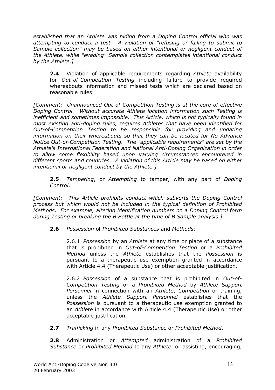*established that an Athlete was hiding from a Doping Control official who was attempting to conduct a test. A violation of "refusing or failing to submit to Sample collection" may be based on either intentional or negligent conduct of the Athlete, while "evading" Sample collection contemplates intentional conduct by the Athlete.]* 

**2.4** Violation of applicable requirements regarding *Athlete* availability for *Out-of-Competition Testing* including failure to provide required whereabouts information and missed tests which are declared based on reasonable rules.

*[Comment: Unannounced Out-of-Competition Testing is at the core of effective Doping Control. Without accurate Athlete location information such Testing is inefficient and sometimes impossible. This Article, which is not typically found in most existing anti-doping rules, requires Athletes that have been identified for Out-of-Competition Testing to be responsible for providing and updating information on their whereabouts so that they can be located for No Advance Notice Out-of-Competition Testing. The "applicable requirements" are set by the Athlete's International Federation and National Anti-Doping Organization in order to allow some flexibility based upon varying circumstances encountered in different sports and countries. A violation of this Article may be based on either intentional or negligent conduct by the Athlete.]* 

**2.5** *Tampering*, or *Attempting* to tamper, with any part of *Doping Control*.

*[Comment: This Article prohibits conduct which subverts the Doping Control process but which would not be included in the typical definition of Prohibited Methods. For example, altering identification numbers on a Doping Control form during Testing or breaking the B Bottle at the time of B Sample analysis.]* 

## **2.6** *Possession* of *Prohibited Substances* and *Methods:*

2.6.1 *Possession* by an *Athlete* at any time or place of a substance that is prohibited in *Out-of-Competition Testing* or a *Prohibited Method* unless the *Athlete* establishes that the *Possession* is pursuant to a therapeutic use exemption granted in accordance with Article 4.4 (Therapeutic Use) or other acceptable justification.

2.6.2 *Possession* of a substance that is prohibited in *Out-of-Competition Testing* or a *Prohibited Method* by *Athlete Support Personnel* in connection with an *Athlete*, *Competition* or training, unless the *Athlete Support Personnel* establishes that the *Possession* is pursuant to a therapeutic use exemption granted to an *Athlete* in accordance with Article 4.4 (Therapeutic Use) or other acceptable justification.

**2.7** *Trafficking* in any *Prohibited Substance* or *Prohibited Method*.

**2.8** Administration or *Attempted* administration of a *Prohibited Substance* or *Prohibited Method* to any *Athlete*, or assisting, encouraging,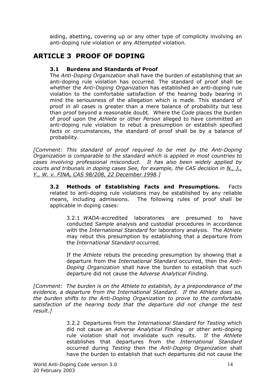<span id="page-13-0"></span>aiding, abetting, covering up or any other type of complicity involving an anti-doping rule violation or any *Attempted* violation.

# **ARTICLE 3 PROOF OF DOPING**

## **3.1 Burdens and Standards of Proof**

The *Anti-Doping Organization* shall have the burden of establishing that an anti-doping rule violation has occurred. The standard of proof shall be whether the *Anti-Doping Organization* has established an anti-doping rule violation to the comfortable satisfaction of the hearing body bearing in mind the seriousness of the allegation which is made. This standard of proof in all cases is greater than a mere balance of probability but less than proof beyond a reasonable doubt. Where the *Code* places the burden of proof upon the *Athlete* or other *Person* alleged to have committed an anti-doping rule violation to rebut a presumption or establish specified facts or circumstances, the standard of proof shall be by a balance of probability.

*[Comment: This standard of proof required to be met by the Anti-Doping Organization is comparable to the standard which is applied in most countries to cases involving professional misconduct. It has also been widely applied by courts and tribunals in doping cases See, for example, the CAS decision in N., J., Y., W. v. FINA, CAS 98/208, 22 December 1998.]* 

**3.2 Methods of Establishing Facts and Presumptions.** Facts related to anti-doping rule violations may be established by any reliable means, including admissions. The following rules of proof shall be applicable in doping cases:

3.2.1 *WADA*-accredited laboratories are presumed to have conducted *Sample* analysis and custodial procedures in accordance with the *International Standard* for laboratory analysis. The *Athlete* may rebut this presumption by establishing that a departure from the *International Standard* occurred.

If the *Athlete* rebuts the preceding presumption by showing that a departure from the *International Standard* occurred, then the *Anti-Doping Organization* shall have the burden to establish that such departure did not cause the *Adverse Analytical Finding*.

*[Comment: The burden is on the Athlete to establish, by a preponderance of the evidence, a departure from the International Standard. If the Athlete does so, the burden shifts to the Anti-Doping Organization to prove to the comfortable satisfaction of the hearing body that the departure did not change the test result.]* 

> 3.2.2 Departures from the *International Standard* for *Testing* which did not cause an *Adverse Analytical Finding* or other anti-doping rule violation shall not invalidate such results. If the *Athlete* establishes that departures from the *International Standard* occurred during *Testing* then the *Anti-Doping Organization* shall have the burden to establish that such departures did not cause the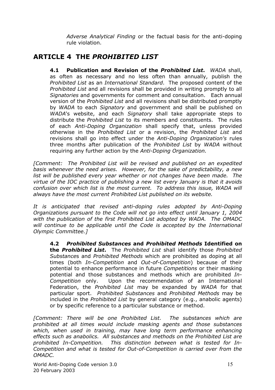*Adverse Analytical Finding* or the factual basis for the anti-doping rule violation.

# <span id="page-14-0"></span>**ARTICLE 4 THE** *PROHIBITED LIST*

**4.1 Publication and Revision of the** *Prohibited List***.** *WADA* shall, as often as necessary and no less often than annually, publish the *Prohibited List* as an *International Standard*. The proposed content of the *Prohibited List* and all revisions shall be provided in writing promptly to all *Signatories* and governments for comment and consultation. Each annual version of the *Prohibited List* and all revisions shall be distributed promptly by *WADA* to each *Signatory* and government and shall be published on *WADA*'s website, and each *Signatory* shall take appropriate steps to distribute the *Prohibited List* to its members and constituents. The rules of each *Anti-Doping Organization* shall specify that, unless provided otherwise in the *Prohibited List* or a revision, the *Prohibited List* and revisions shall go into effect under the *Anti-Doping Organization's* rules three months after publication of the *Prohibited List* by *WADA* without requiring any further action by the *Anti-Doping Organization.*

*[Comment: The Prohibited List will be revised and published on an expedited basis whenever the need arises. However, for the sake of predictability, a new list will be published every year whether or not changes have been made. The virtue of the IOC practice of publishing a new list every January is that it avoids confusion over which list is the most current. To address this issue, WADA will always have the most current Prohibited List published on its website.* 

*It is anticipated that revised anti-doping rules adopted by Anti-Doping Organizations pursuant to the Code will not go into effect until January 1, 2004 with the publication of the first Prohibited List adopted by WADA. The OMADC will continue to be applicable until the Code is accepted by the International Olympic Committee.]* 

**4.2** *Prohibited Substances* **and** *Prohibited Methods* **Identified on the** *Prohibited List***.** The *Prohibited List* shall identify those *Prohibited Substance*s and *Prohibited Methods* which are prohibited as doping at all times (both *In-Competition* and *Out-of-Competition*) because of their potential to enhance performance in future *Competitions* or their masking potential and those substances and methods which are prohibited *In-Competition* only. Upon the recommendation of an International Federation, the *Prohibited List* may be expanded by *WADA* for that particular sport. *Prohibited Substances* and *Prohibited Methods* may be included in the *Prohibited List* by general category (e.g., anabolic agents) or by specific reference to a particular substance or method.

*[Comment: There will be one Prohibited List. The substances which are prohibited at all times would include masking agents and those substances which, when used in training, may have long term performance enhancing effects such as anabolics. All substances and methods on the Prohibited List are prohibited In-Competition. This distinction between what is tested for In-Competition and what is tested for Out-of-Competition is carried over from the OMADC.*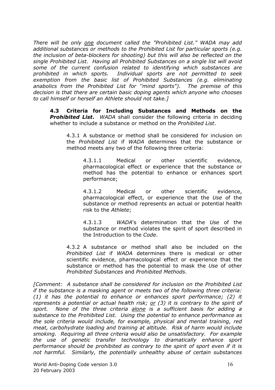<span id="page-15-0"></span>*There will be only one document called the "Prohibited List." WADA may add additional substances or methods to the Prohibited List for particular sports (e.g. the inclusion of beta-blockers for shooting) but this will also be reflected on the single Prohibited List. Having all Prohibited Substances on a single list will avoid some of the current confusion related to identifying which substances are prohibited in which sports. Individual sports are not permitted to seek exemption from the basic list of Prohibited Substances (e.g. eliminating anabolics from the Prohibited List for ''mind sports"). The premise of this decision is that there are certain basic doping agents which anyone who chooses to call himself or herself an Athlete should not take.]*

**4.3 Criteria for Including Substances and Methods on the Prohibited List.** *WADA* shall consider the following criteria in deciding whether to include a substance or method on the *Prohibited List*.

4.3.1 A substance or method shall be considered for inclusion on the *Prohibited List* if *WADA* determines that the substance or method meets any two of the following three criteria:

4.3.1.1 Medical or other scientific evidence, pharmacological effect or experience that the substance or method has the potential to enhance or enhances sport performance;

4.3.1.2 Medical or other scientific evidence, pharmacological effect, or experience that the *Use* of the substance or method represents an actual or potential health risk to the *Athlete*;

4.3.1.3 *WADA*'s determination that the *Use* of the substance or method violates the spirit of sport described in the Introduction to the *Code*.

4.3.2 A substance or method shall also be included on the *Prohibited List* if *WADA* determines there is medical or other scientific evidence, pharmacological effect or experience that the substance or method has the potential to mask the *Use* of other *Prohibited Substances* and *Prohibited Methods*.

*[Comment: A substance shall be considered for inclusion on the Prohibited List if the substance is a masking agent or meets two of the following three criteria: (1) it has the potential to enhance or enhances sport performance; (2) it represents a potential or actual health risk; or (3) it is contrary to the spirit of sport. None of the three criteria alone is a sufficient basis for adding a substance to the Prohibited List. Using the potential to enhance performance as the sole criteria would include, for example, physical and mental training, red meat, carbohydrate loading and training at altitude. Risk of harm would include smoking. Requiring all three criteria would also be unsatisfactory. For example the use of genetic transfer technology to dramatically enhance sport performance should be prohibited as contrary to the spirit of sport even if it is not harmful. Similarly, the potentially unhealthy abuse of certain substances*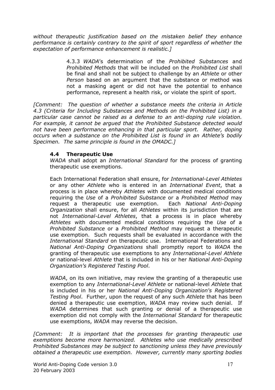<span id="page-16-0"></span>*without therapeutic justification based on the mistaken belief they enhance performance is certainly contrary to the spirit of sport regardless of whether the expectation of performance enhancement is realistic.]* 

> 4.3.3 *WADA*'s determination of the *Prohibited Substances* and *Prohibited Methods* that will be included on the *Prohibited List* shall be final and shall not be subject to challenge by an *Athlete* or other *Person* based on an argument that the substance or method was not a masking agent or did not have the potential to enhance performance, represent a health risk, or violate the spirit of sport.

*[Comment: The question of whether a substance meets the criteria in Article 4.3 (Criteria for Including Substances and Methods on the Prohibited List) in a particular case cannot be raised as a defense to an anti-doping rule violation. For example, it cannot be argued that the Prohibited Substance detected would not have been performance enhancing in that particular sport. Rather, doping occurs when a substance on the Prohibited List is found in an Athlete's bodily Specimen. The same principle is found in the OMADC.]* 

## **4.4 Therapeutic Use**

*WADA* shall adopt an *International Standard* for the process of granting therapeutic use exemptions.

Each International Federation shall ensure, for *International-Level Athletes* or any other *Athlete* who is entered in an *International Event*, that a process is in place whereby *Athletes* with documented medical conditions requiring the *Use* of a *Prohibited Substance* or a *Prohibited Method* may request a therapeutic use exemption. Each *National Anti-Doping Organization* shall ensure, for all *Athletes* within its jurisdiction that are not *International-Level Athletes*, that a process is in place whereby *Athletes* with documented medical conditions requiring the *Use* of a *Prohibited Substance* or a *Prohibited Method* may request a therapeutic use exemption. Such requests shall be evaluated in accordance with the *International Standard* on therapeutic use. International Federations and *National Anti-Doping Organizations* shall promptly report to *WADA* the granting of therapeutic use exemptions to any *International-Level Athlete* or national-level *Athlete* that is included in his or her *National Anti-Doping Organization's Registered Testing Pool*.

*WADA*, on its own initiative, may review the granting of a therapeutic use exemption to any *International-Level Athlete* or national-level *Athlete* that is included in his or her *National Anti-Doping Organization's Registered Testing Pool*. Further, upon the request of any such *Athlete* that has been denied a therapeutic use exemption, *WADA* may review such denial. If *WADA* determines that such granting or denial of a therapeutic use exemption did not comply with the *International Standard* for therapeutic use exemptions, *WADA* may reverse the decision.

*[Comment: It is important that the processes for granting therapeutic use exemptions become more harmonized. Athletes who use medically prescribed Prohibited Substances may be subject to sanctioning unless they have previously obtained a therapeutic use exemption. However, currently many sporting bodies*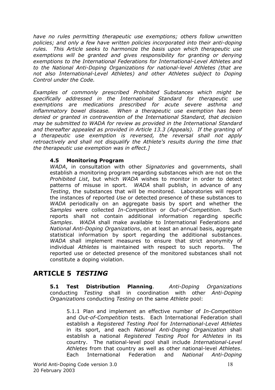<span id="page-17-0"></span>*have no rules permitting therapeutic use exemptions; others follow unwritten policies; and only a few have written policies incorporated into their anti-doping rules. This Article seeks to harmonize the basis upon which therapeutic use exemptions will be granted and gives responsibility for granting or denying exemptions to the International Federations for International-Level Athletes and to the National Anti-Doping Organizations for national-level Athletes (that are not also International-Level Athletes) and other Athletes subject to Doping Control under the Code.* 

*Examples of commonly prescribed Prohibited Substances which might be specifically addressed in the International Standard for therapeutic use exemptions are medications prescribed for acute severe asthma and inflammatory bowel disease. When a therapeutic use exemption has been denied or granted in contravention of the International Standard, that decision may be submitted to WADA for review as provided in the International Standard and thereafter appealed as provided in Article 13.3 (Appeals). If the granting of a therapeutic use exemption is reversed, the reversal shall not apply retroactively and shall not disqualify the Athlete's results during the time that the therapeutic use exemption was in effect.]*

## **4.5 Monitoring Program**

*WADA*, in consultation with other *Signatories* and governments, shall establish a monitoring program regarding substances which are not on the *Prohibited List*, but which *WADA* wishes to monitor in order to detect patterns of misuse in sport. *WADA* shall publish, in advance of any *Testing*, the substances that will be monitored. Laboratories will report the instances of reported *Use* or detected presence of these substances to *WADA* periodically on an aggregate basis by sport and whether the *Samples* were collected *In-Competition* or *Out–of-Competition*. Such reports shall not contain additional information regarding specific *Samples*. *WADA* shall make available to International Federations and *National Anti-Doping Organizations*, on at least an annual basis, aggregate statistical information by sport regarding the additional substances. *WADA* shall implement measures to ensure that strict anonymity of individual *Athletes* is maintained with respect to such reports. The reported use or detected presence of the monitored substances shall not constitute a doping violation.

# **ARTICLE 5** *TESTING*

**5.1 Test Distribution Planning**. *Anti-Doping Organizations* conducting *Testing* shall in coordination with other *Anti-Doping Organizations* conducting *Testing* on the same *Athlete* pool:

5.1.1 Plan and implement an effective number of *In-Competition* and *Out-of-Competition* tests. Each International Federation shall establish a *Registered Testing Pool* for *International-Level Athletes* in its sport, and each *National Anti-Doping Organization* shall establish a national *Registered Testing Pool* for *Athletes* in its country. The national-level pool shall include *International-Level Athletes* from that country as well as other national-level *Athletes*. Each International Federation and *National Anti-Doping*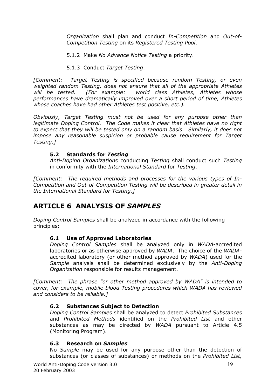<span id="page-18-0"></span>*Organization* shall plan and conduct *In-Competition* and *Out-of-Competition Testing* on its *Registered Testing Pool*.

- 5.1.2 Make *No Advance Notice Testing* a priority.
- 5.1.3 Conduct *Target Testing*.

*[Comment: Target Testing is specified because random Testing, or even weighted random Testing, does not ensure that all of the appropriate Athletes will be tested. (For example: world class Athletes, Athletes whose performances have dramatically improved over a short period of time, Athletes whose coaches have had other Athletes test positive, etc.).* 

*Obviously, Target Testing must not be used for any purpose other than legitimate Doping Control. The Code makes it clear that Athletes have no right to expect that they will be tested only on a random basis. Similarly, it does not impose any reasonable suspicion or probable cause requirement for Target Testing.]*

## **5.2 Standards for** *Testing*

*Anti-Doping Organizations* conducting *Testing* shall conduct such *Testing* in conformity with the *International Standard* for *Testing*.

*[Comment: The required methods and processes for the various types of In-Competition and Out-of-Competition Testing will be described in greater detail in the International Standard for Testing.]*

# **ARTICLE 6 ANALYSIS OF** *SAMPLES*

*Doping Control Samples* shall be analyzed in accordance with the following principles:

## **6.1 Use of Approved Laboratories**

*Doping Control Samples* shall be analyzed only in *WADA*-accredited laboratories or as otherwise approved by *WADA*. The choice of the *WADA*accredited laboratory (or other method approved by *WADA*) used for the *Sample* analysis shall be determined exclusively by the *Anti-Doping Organization* responsible for results management.

*[Comment: The phrase "or other method approved by WADA" is intended to cover, for example, mobile blood Testing procedures which WADA has reviewed and considers to be reliable.]* 

## **6.2 Substances Subject to Detection**

*Doping Control Samples* shall be analyzed to detect *Prohibited Substances* and *Prohibited Methods* identified on the *Prohibited List* and other substances as may be directed by *WADA* pursuant to Article 4.5 (Monitoring Program).

## **6.3 Research on** *Samples*

No *Sample* may be used for any purpose other than the detection of substances (or classes of substances) or methods on the *Prohibited List,*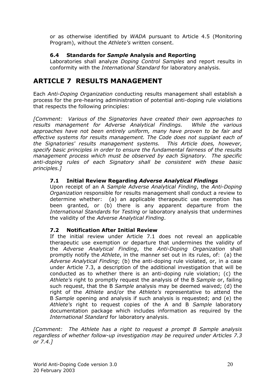<span id="page-19-0"></span>or as otherwise identified by *WADA* pursuant to Article 4.5 (Monitoring Program), without the *Athlete's* written consent.

## **6.4 Standards for** *Sample* **Analysis and Reporting**

Laboratories shall analyze *Doping Control Samples* and report results in conformity with the *International Standard* for laboratory analysis.

# **ARTICLE 7 RESULTS MANAGEMENT**

Each *Anti-Doping Organization* conducting results management shall establish a process for the pre-hearing administration of potential anti-doping rule violations that respects the following principles:

*[Comment: Various of the Signatories have created their own approaches to results management for Adverse Analytical Findings. While the various approaches have not been entirely uniform, many have proven to be fair and effective systems for results management. The Code does not supplant each of the Signatories' results management systems. This Article does, however, specify basic principles in order to ensure the fundamental fairness of the results management process which must be observed by each Signatory. The specific anti-doping rules of each Signatory shall be consistent with these basic principles.]*

## **7.1 Initial Review Regarding** *Adverse Analytical Findings*

Upon receipt of an A *Sample Adverse Analytical Finding*, the *Anti-Doping Organization* responsible for results management shall conduct a review to determine whether: (a) an applicable therapeutic use exemption has been granted, or (b) there is any apparent departure from the *International Standards* for *Testing* or laboratory analysis that undermines the validity of the *Adverse Analytical Finding*.

## **7.2 Notification After Initial Review**

If the initial review under Article 7.1 does not reveal an applicable therapeutic use exemption or departure that undermines the validity of the *Adverse Analytical Finding*, the *Anti-Doping Organization* shall promptly notify the *Athlete*, in the manner set out in its rules, of: (a) the *Adverse Analytical Finding*; (b) the anti-doping rule violated, or, in a case under Article 7.3, a description of the additional investigation that will be conducted as to whether there is an anti-doping rule violation; (c) the *Athlete's* right to promptly request the analysis of the B *Sample* or, failing such request, that the B *Sample* analysis may be deemed waived; (d) the right of the *Athlete* and/or the *Athlete's* representative to attend the B *Sample* opening and analysis if such analysis is requested; and (e) the *Athlete's* right to request copies of the A and B *Sample* laboratory documentation package which includes information as required by the *International Standard* for laboratory analysis.

*[Comment: The Athlete has a right to request a prompt B Sample analysis regardless of whether follow-up investigation may be required under Articles 7.3 or 7.4.]*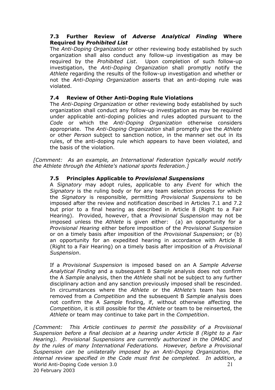## <span id="page-20-0"></span>**7.3 Further Review of** *Adverse Analytical Finding* **Where Required by** *Prohibited List*

The *Anti-Doping Organization* or other reviewing body established by such organization shall also conduct any follow-up investigation as may be required by the *Prohibited List*. Upon completion of such follow-up investigation, the *Anti-Doping Organization* shall promptly notify the *Athlete* regarding the results of the follow-up investigation and whether or not the *Anti-Doping Organization* asserts that an anti-doping rule was violated.

## **7.4 Review of Other Anti-Doping Rule Violations**

The *Anti-Doping Organization* or other reviewing body established by such organization shall conduct any follow-up investigation as may be required under applicable anti-doping policies and rules adopted pursuant to the *Code* or which the *Anti-Doping Organization* otherwise considers appropriate. The *Anti-Doping Organization* shall promptly give the *Athlete* or other *Person* subject to sanction notice, in the manner set out in its rules, of the anti-doping rule which appears to have been violated, and the basis of the violation.

*[Comment: As an example, an International Federation typically would notify the Athlete through the Athlete's national sports federation.]* 

## **7.5 Principles Applicable to** *Provisional Suspensions*

A *Signatory* may adopt rules, applicable to any *Event* for which the *Signatory* is the ruling body or for any team selection process for which the *Signatory* is responsible, permitting *Provisional Suspensions* to be imposed after the review and notification described in Articles 7.1 and 7.2 but prior to a final hearing as described in Article 8 (Right to a Fair Hearing). Provided, however, that a *Provisional Suspension* may not be imposed unless the *Athlete* is given either: (a) an opportunity for a *Provisional Hearing* either before imposition of the *Provisional Suspension* or on a timely basis after imposition of the *Provisional Suspension*; or (b) an opportunity for an expedited hearing in accordance with Article 8 (Right to a Fair Hearing) on a timely basis after imposition of a *Provisional Suspension*.

If a *Provisional Suspension* is imposed based on an A *Sample Adverse Analytical Finding* and a subsequent B *Sample* analysis does not confirm the A *Sample* analysis, then the *Athlete* shall not be subject to any further disciplinary action and any sanction previously imposed shall be rescinded. In circumstances where the *Athlete* or the *Athlete's* team has been removed from a *Competition* and the subsequent B *Sample* analysis does not confirm the A *Sample* finding, if, without otherwise affecting the *Competition*, it is still possible for the *Athlete* or team to be reinserted, the *Athlete* or team may continue to take part in the *Competition*.

World Anti-Doping Code version 3.0 21 20 February 2003 *[Comment: This Article continues to permit the possibility of a Provisional Suspension before a final decision at a hearing under Article 8 (Right to a Fair Hearing). Provisional Suspensions are currently authorized in the OMADC and by the rules of many International Federations. However, before a Provisional Suspension can be unilaterally imposed by an Anti-Doping Organization, the internal review specified in the Code must first be completed. In addition, a*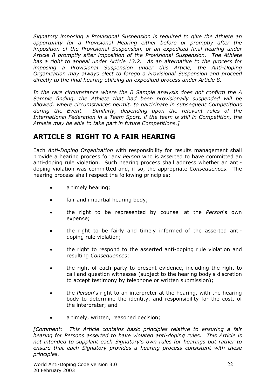<span id="page-21-0"></span>*Signatory imposing a Provisional Suspension is required to give the Athlete an opportunity for a Provisional Hearing either before or promptly after the imposition of the Provisional Suspension, or an expedited final hearing under Article 8 promptly after imposition of the Provisional Suspension. The Athlete has a right to appeal under Article 13.2. As an alternative to the process for imposing a Provisional Suspension under this Article, the Anti-Doping Organization may always elect to forego a Provisional Suspension and proceed directly to the final hearing utilizing an expedited process under Article 8.* 

*In the rare circumstance where the B Sample analysis does not confirm the A Sample finding, the Athlete that had been provisionally suspended will be allowed, where circumstances permit, to participate in subsequent Competitions during the Event. Similarly, depending upon the relevant rules of the International Federation in a Team Sport, if the team is still in Competition, the Athlete may be able to take part in future Competitions.]*

# **ARTICLE 8 RIGHT TO A FAIR HEARING**

Each *Anti-Doping Organization* with responsibility for results management shall provide a hearing process for any *Person* who is asserted to have committed an anti-doping rule violation. Such hearing process shall address whether an antidoping violation was committed and, if so, the appropriate *Consequences*. The hearing process shall respect the following principles:

- a timely hearing;
- fair and impartial hearing body;
- the right to be represented by counsel at the *Person*'s own expense;
- the right to be fairly and timely informed of the asserted antidoping rule violation;
- the right to respond to the asserted anti-doping rule violation and resulting *Consequences*;
- the right of each party to present evidence, including the right to call and question witnesses (subject to the hearing body's discretion to accept testimony by telephone or written submission);
- the *Person*'s right to an interpreter at the hearing, with the hearing body to determine the identity, and responsibility for the cost, of the interpreter; and
- a timely, written, reasoned decision;

*[Comment: This Article contains basic principles relative to ensuring a fair hearing for Persons asserted to have violated anti-doping rules. This Article is not intended to supplant each Signatory's own rules for hearings but rather to ensure that each Signatory provides a hearing process consistent with these principles.*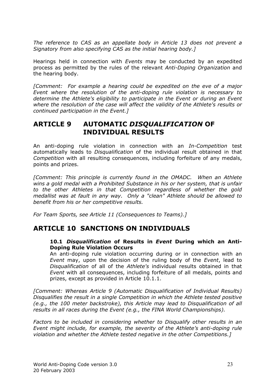<span id="page-22-0"></span>*The reference to CAS as an appellate body in Article 13 does not prevent a Signatory from also specifying CAS as the initial hearing body.]* 

Hearings held in connection with *Events* may be conducted by an expedited process as permitted by the rules of the relevant *Anti-Doping Organization* and the hearing body.

*[Comment: For example a hearing could be expedited on the eve of a major Event where the resolution of the anti-doping rule violation is necessary to determine the Athlete's eligibility to participate in the Event or during an Event where the resolution of the case will affect the validity of the Athlete's results or continued participation in the Event.]*

# **ARTICLE 9 AUTOMATIC** *DISQUALIFICATION* **OF INDIVIDUAL RESULTS**

An anti-doping rule violation in connection with an *In-Competition* test automatically leads to *Disqualification* of the individual result obtained in that *Competition* with all resulting consequences, including forfeiture of any medals, points and prizes.

*[Comment: This principle is currently found in the OMADC. When an Athlete wins a gold medal with a Prohibited Substance in his or her system, that is unfair to the other Athletes in that Competition regardless of whether the gold medallist was at fault in any way. Only a "clean" Athlete should be allowed to benefit from his or her competitive results.* 

*For Team Sports, see Article 11 (Consequences to Teams).]* 

# **ARTICLE 10 SANCTIONS ON INDIVIDUALS**

#### **10.1** *Disqualification* **of Results in** *Event* **During which an Anti-Doping Rule Violation Occurs**

An anti-doping rule violation occurring during or in connection with an *Event* may, upon the decision of the ruling body of the *Event*, lead to *Disqualification* of all of the *Athlete's* individual results obtained in that *Event* with all consequences, including forfeiture of all medals, points and prizes, except as provided in Article 10.1.1.

*[Comment: Whereas Article 9 (Automatic Disqualification of Individual Results) Disqualifies the result in a single Competition in which the Athlete tested positive (e.g., the 100 meter backstroke), this Article may lead to Disqualification of all results in all races during the Event (e.g., the FINA World Championships).* 

*Factors to be included in considering whether to Disqualify other results in an Event might include, for example, the severity of the Athlete's anti-doping rule violation and whether the Athlete tested negative in the other Competitions.]*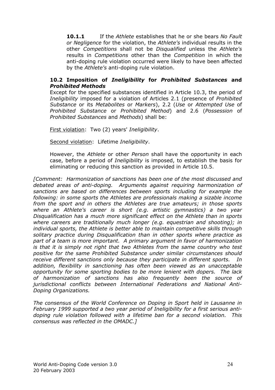<span id="page-23-0"></span>**10.1.1** If the *Athlete* establishes that he or she bears *No Fault or Negligence* for the violation, the *Athlete's* individual results in the other *Competitions* shall not be *Disqualified* unless the *Athlete's* results in *Competitions* other than the *Competition* in which the anti-doping rule violation occurred were likely to have been affected by the *Athlete's* anti-doping rule violation.

## **10.2 Imposition of** *Ineligibility* **for** *Prohibited Substances* **and** *Prohibited Methods*

Except for the specified substances identified in Article 10.3, the period of *Ineligibility* imposed for a violation of Articles 2.1 (presence of *Prohibited Substance* or its *Metabolites* or *Markers*), 2.2 (*Use* or *Attempted Use* of *Prohibited Substance* or *Prohibited Method*) and 2.6 (*Possession* of *Prohibited Substances* and *Methods*) shall be:

First violation: Two (2) years' *Ineligibility*.

Second violation: Lifetime *Ineligibility*.

However, the *Athlete* or other *Person* shall have the opportunity in each case, before a period of *Ineligibility* is imposed, to establish the basis for eliminating or reducing this sanction as provided in Article 10.5.

*[Comment: Harmonization of sanctions has been one of the most discussed and debated areas of anti-doping. Arguments against requiring harmonization of sanctions are based on differences between sports including for example the following: in some sports the Athletes are professionals making a sizable income from the sport and in others the Athletes are true amateurs; in those sports where an Athlete's career is short (e.g. artistic gymnastics) a two year Disqualification has a much more significant effect on the Athlete than in sports where careers are traditionally much longer (e.g. equestrian and shooting); in individual sports, the Athlete is better able to maintain competitive skills through solitary practice during Disqualification than in other sports where practice as part of a team is more important. A primary argument in favor of harmonization is that it is simply not right that two Athletes from the same country who test positive for the same Prohibited Substance under similar circumstances should receive different sanctions only because they participate in different sports. In addition, flexibility in sanctioning has often been viewed as an unacceptable opportunity for some sporting bodies to be more lenient with dopers. The lack of harmonization of sanctions has also frequently been the source of jurisdictional conflicts between International Federations and National Anti-Doping Organizations.* 

*The consensus of the World Conference on Doping in Sport held in Lausanne in February 1999 supported a two year period of Ineligibility for a first serious antidoping rule violation followed with a lifetime ban for a second violation. This consensus was reflected in the OMADC.]*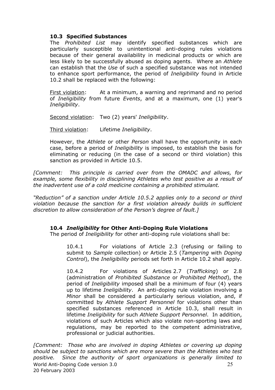## <span id="page-24-0"></span>**10.3 Specified Substances**

The *Prohibited List* may identify specified substances which are particularly susceptible to unintentional anti-doping rules violations because of their general availability in medicinal products or which are less likely to be successfully abused as doping agents. Where an *Athlete* can establish that the *Use* of such a specified substance was not intended to enhance sport performance, the period of *Ineligibility* found in Article 10.2 shall be replaced with the following:

First violation: At a minimum, a warning and reprimand and no period of *Ineligibility* from future *Events*, and at a maximum, one (1) year's *Ineligibility*.

Second violation: Two (2) years' *Ineligibility*.

Third violation: Lifetime *Ineligibility*.

However, the *Athlete* or other *Person* shall have the opportunity in each case, before a period of *Ineligibility* is imposed, to establish the basis for eliminating or reducing (in the case of a second or third violation) this sanction as provided in Article 10.5.

*[Comment: This principle is carried over from the OMADC and allows, for example, some flexibility in disciplining Athletes who test positive as a result of the inadvertent use of a cold medicine containing a prohibited stimulant.*

*"Reduction" of a sanction under Article 10.5.2 applies only to a second or third violation because the sanction for a first violation already builds in sufficient discretion to allow consideration of the Person's degree of fault.]* 

## **10.4** *Ineligibility* **for Other Anti-Doping Rule Violations**

The period of *Ineligibility* for other anti-doping rule violations shall be:

10.4.1 For violations of Article 2.3 (refusing or failing to submit to *Sample* collection) or Article 2.5 (*Tampering* with *Doping Control*), the *Ineligibility* periods set forth in Article 10.2 shall apply.

10.4.2 For violations of Articles 2.7 (*Trafficking*) or 2.8 (administration of *Prohibited Substance* or *Prohibited Method*), the period of *Ineligibility* imposed shall be a minimum of four (4) years up to lifetime *Ineligibility*. An anti-doping rule violation involving a *Minor* shall be considered a particularly serious violation, and, if committed by *Athlete Support Personnel* for violations other than specified substances referenced in Article 10.3, shall result in lifetime *Ineligibility* for such *Athlete Support Personnel*. In addition, violations of such Articles which also violate non-sporting laws and regulations, may be reported to the competent administrative, professional or judicial authorities.

*[Comment: Those who are involved in doping Athletes or covering up doping should be subject to sanctions which are more severe than the Athletes who test positive. Since the authority of sport organizations is generally limited to* World Anti-Doping Code version 3.0 25 20 February 2003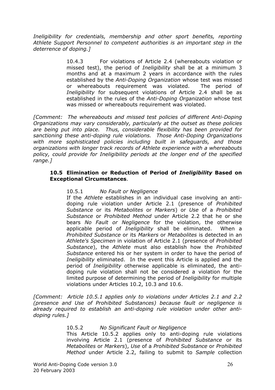<span id="page-25-0"></span>*Ineligibility for credentials, membership and other sport benefits, reporting Athlete Support Personnel to competent authorities is an important step in the deterrence of doping.]* 

> 10.4.3 For violations of Article 2.4 (whereabouts violation or missed test), the period of *Ineligibility* shall be at a minimum 3 months and at a maximum 2 years in accordance with the rules established by the *Anti-Doping Organization* whose test was missed or whereabouts requirement was violated. The period of *Ineligibility* for subsequent violations of Article 2.4 shall be as established in the rules of the *Anti-Doping Organization* whose test was missed or whereabouts requirement was violated.

*[Comment: The whereabouts and missed test policies of different Anti-Doping Organizations may vary considerably, particularly at the outset as these policies are being put into place. Thus, considerable flexibility has been provided for sanctioning these anti-doping rule violations. Those Anti-Doping Organizations with more sophisticated policies including built in safeguards, and those organizations with longer track records of Athlete experience with a whereabouts policy, could provide for Ineligibility periods at the longer end of the specified range.]* 

#### **10.5 Elimination or Reduction of Period of** *Ineligibility* **Based on Exceptional Circumstances**.

## 10.5.1 *No Fault or Negligence*

If the *Athlete* establishes in an individual case involving an antidoping rule violation under Article 2.1 (presence of *Prohibited Substance* or its *Metabolites* or *Markers*) or *Use* of a *Prohibited Substance* or *Prohibited Method* under Article 2.2 that he or she bears *No Fault or Negligence* for the violation, the otherwise applicable period of *Ineligibility* shall be eliminated. When a *Prohibited Substance* or its *Markers* or *Metabolites* is detected in an *Athlete's Specimen* in violation of Article 2.1 (presence of *Prohibited Substance*), the *Athlete* must also establish how the *Prohibited Substance* entered his or her system in order to have the period of *Ineligibility* eliminated. In the event this Article is applied and the period of *Ineligibility* otherwise applicable is eliminated, the antidoping rule violation shall not be considered a violation for the limited purpose of determining the period of *Ineligibility* for multiple violations under Articles 10.2, 10.3 and 10.6.

*[Comment: Article 10.5.1 applies only to violations under Articles 2.1 and 2.2 (presence and Use of Prohibited Substances) because fault or negligence is already required to establish an anti-doping rule violation under other antidoping rules.]* 

> 10.5.2 *No Significant Fault or Negligence* This Article 10.5.2 applies only to anti-doping rule violations involving Article 2.1 (presence of *Prohibited Substance* or its *Metabolites* or *Markers*), *Use* of a *Prohibited Substance* or *Prohibited Method* under Article 2.2, failing to submit to *Sample* collection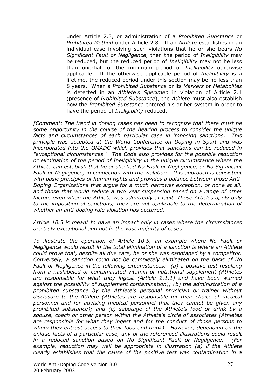under Article 2.3, or administration of a *Prohibited Substance* or *Prohibited Method* under Article 2.8. If an *Athlete* establishes in an individual case involving such violations that he or she bears *No Significant Fault or Negligence,* then the period of *Ineligibility* may be reduced, but the reduced period of *Ineligibility* may not be less than one-half of the minimum period of *Ineligibility* otherwise applicable. If the otherwise applicable period of *Ineligibility* is a lifetime, the reduced period under this section may be no less than 8 years. When a *Prohibited Substance* or its *Markers* or *Metabolites* is detected in an *Athlete's Specimen* in violation of Article 2.1 (presence of *Prohibited Substance*), the *Athlete* must also establish how the *Prohibited Substance* entered his or her system in order to have the period of *Ineligibility* reduced.

*[Comment: The trend in doping cases has been to recognize that there must be some opportunity in the course of the hearing process to consider the unique facts and circumstances of each particular case in imposing sanctions. This principle was accepted at the World Conference on Doping in Sport and was incorporated into the OMADC which provides that sanctions can be reduced in "exceptional circumstances." The Code also provides for the possible reduction or elimination of the period of Ineligibility in the unique circumstance where the Athlete can establish that he or she had No Fault or Negligence, or No Significant Fault or Negligence, in connection with the violation. This approach is consistent with basic principles of human rights and provides a balance between those Anti-Doping Organizations that argue for a much narrower exception, or none at all, and those that would reduce a two year suspension based on a range of other factors even when the Athlete was admittedly at fault. These Articles apply only to the imposition of sanctions; they are not applicable to the determination of whether an anti-doping rule violation has occurred.* 

*Article 10.5 is meant to have an impact only in cases where the circumstances are truly exceptional and not in the vast majority of cases.* 

*To illustrate the operation of Article 10.5, an example where No Fault or Negligence would result in the total elimination of a sanction is where an Athlete could prove that, despite all due care, he or she was sabotaged by a competitor. Conversely, a sanction could not be completely eliminated on the basis of No Fault or Negligence in the following circumstances: (a) a positive test resulting from a mislabeled or contaminated vitamin or nutritional supplement (Athletes are responsible for what they ingest (Article 2.1.1) and have been warned against the possibility of supplement contamination); (b) the administration of a prohibited substance by the Athlete's personal physician or trainer without disclosure to the Athlete (Athletes are responsible for their choice of medical personnel and for advising medical personnel that they cannot be given any prohibited substance); and (c) sabotage of the Athlete's food or drink by a spouse, coach or other person within the Athlete's circle of associates (Athletes are responsible for what they ingest and for the conduct of those persons to whom they entrust access to their food and drink). However, depending on the unique facts of a particular case, any of the referenced illustrations could result in a reduced sanction based on No Significant Fault or Negligence. (For example, reduction may well be appropriate in illustration (a) if the Athlete clearly establishes that the cause of the positive test was contamination in a*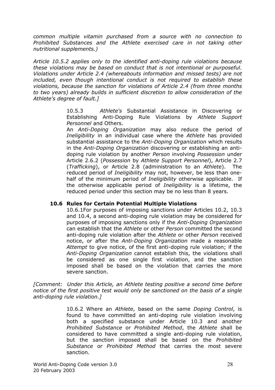<span id="page-27-0"></span>*common multiple vitamin purchased from a source with no connection to Prohibited Substances and the Athlete exercised care in not taking other nutritional supplements.)* 

*Article 10.5.2 applies only to the identified anti-doping rule violations because these violations may be based on conduct that is not intentional or purposeful. Violations under Article 2.4 (whereabouts information and missed tests) are not included, even though intentional conduct is not required to establish these violations, because the sanction for violations of Article 2.4 (from three months to two years) already builds in sufficient discretion to allow consideration of the Athlete's degree of fault.]* 

> 10.5.3 *Athlete's* Substantial Assistance in Discovering or Establishing Anti-Doping Rule Violations by *Athlete Support Personnel* and Others.

> An *Anti-Doping Organization* may also reduce the period of *Ineligibility* in an individual case where the *Athlete* has provided substantial assistance to the *Anti-Doping Organization* which results in the *Anti-Doping Organization* discovering or establishing an antidoping rule violation by another *Person* involving *Possession* under Article 2.6.2 (*Possession* by *Athlete Support Personnel*), Article 2.7 (*Trafficking*), or Article 2.8 (administration to an *Athlete*). The reduced period of *Ineligibility* may not, however, be less than onehalf of the minimum period of *Ineligibility* otherwise applicable. If the otherwise applicable period of *Ineligibility* is a lifetime, the reduced period under this section may be no less than 8 years.

## **10.6 Rules for Certain Potential Multiple Violations**

10.6.1For purposes of imposing sanctions under Articles 10.2, 10.3 and 10.4, a second anti-doping rule violation may be considered for purposes of imposing sanctions only if the *Anti-Doping Organization* can establish that the *Athlete* or other *Person* committed the second anti-doping rule violation after the *Athlete* or other *Person* received notice, or after the *Anti-Doping Organization* made a reasonable *Attempt* to give notice, of the first anti-doping rule violation; if the *Anti-Doping Organization* cannot establish this, the violations shall be considered as one single first violation, and the sanction imposed shall be based on the violation that carries the more severe sanction.

*[Comment: Under this Article, an Athlete testing positive a second time before notice of the first positive test would only be sanctioned on the basis of a single anti-doping rule violation.]* 

> 10.6.2 Where an *Athlete*, based on the same *Doping Control*, is found to have committed an anti-doping rule violation involving both a specified substance under Article 10.3 and another *Prohibited Substance* or *Prohibited Method*, the *Athlete* shall be considered to have committed a single anti-doping rule violation, but the sanction imposed shall be based on the *Prohibited Substance* or *Prohibited Method* that carries the most severe sanction.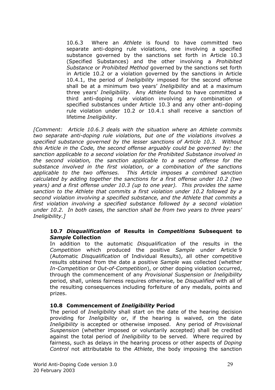<span id="page-28-0"></span>10.6.3 Where an *Athlete* is found to have committed two separate anti-doping rule violations, one involving a specified substance governed by the sanctions set forth in Article 10.3 (Specified Substances) and the other involving a *Prohibited Substance* or *Prohibited Method* governed by the sanctions set forth in Article 10.2 or a violation governed by the sanctions in Article 10.4.1, the period of *Ineligibility* imposed for the second offense shall be at a minimum two years' *Ineligibility* and at a maximum three years' *Ineligibility*. Any *Athlete* found to have committed a third anti-doping rule violation involving any combination of specified substances under Article 10.3 and any other anti-doping rule violation under 10.2 or 10.4.1 shall receive a sanction of lifetime *Ineligibility*.

*[Comment: Article 10.6.3 deals with the situation where an Athlete commits two separate anti-doping rule violations, but one of the violations involves a specified substance governed by the lesser sanctions of Article 10.3. Without this Article in the Code, the second offense arguably could be governed by: the sanction applicable to a second violation for the Prohibited Substance involved in the second violation, the sanction applicable to a second offense for the substance involved in the first violation, or a combination of the sanctions applicable to the two offenses. This Article imposes a combined sanction calculated by adding together the sanctions for a first offense under 10.2 (two years) and a first offense under 10.3 (up to one year). This provides the same sanction to the Athlete that commits a first violation under 10.2 followed by a second violation involving a specified substance, and the Athlete that commits a first violation involving a specified substance followed by a second violation under 10.2. In both cases, the sanction shall be from two years to three years' Ineligibility.]* 

## **10.7** *Disqualification* **of Results in** *Competitions* **Subsequent to** *Sample* **Collection**

In addition to the automatic *Disqualification* of the results in the *Competition* which produced the positive *Sample* under Article 9 (Automatic *Disqualification* of Individual Results), all other competitive results obtained from the date a positive *Sample* was collected (whether *In-Competition* or *Out-of-Competition*), or other doping violation occurred, through the commencement of any *Provisional Suspension* or *Ineligibility* period, shall, unless fairness requires otherwise, be *Disqualified* with all of the resulting consequences including forfeiture of any medals, points and prizes.

## **10.8 Commencement of** *Ineligibility* **Period**

The period of *Ineligibility* shall start on the date of the hearing decision providing for *Ineligibility* or, if the hearing is waived, on the date *Ineligibility* is accepted or otherwise imposed. Any period of *Provisional Suspension* (whether imposed or voluntarily accepted) shall be credited against the total period of *Ineligibility* to be served. Where required by fairness, such as delays in the hearing process or other aspects of *Doping Control* not attributable to the *Athlete*, the body imposing the sanction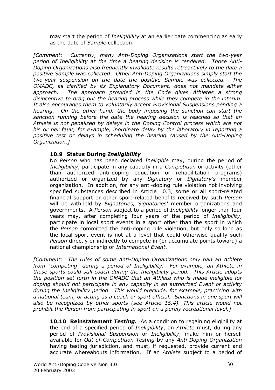<span id="page-29-0"></span>may start the period of *Ineligibility* at an earlier date commencing as early as the date of *Sample* collection.

*[Comment: Currently, many Anti-Doping Organizations start the two-year period of Ineligibility at the time a hearing decision is rendered. Those Anti-Doping Organizations also frequently invalidate results retroactively to the date a positive Sample was collected. Other Anti-Doping Organizations simply start the two-year suspension on the date the positive Sample was collected. The OMADC, as clarified by its Explanatory Document, does not mandate either approach. The approach provided in the Code gives Athletes a strong disincentive to drag out the hearing process while they compete in the interim. It also encourages them to voluntarily accept Provisional Suspensions pending a hearing. On the other hand, the body imposing the sanction can start the sanction running before the date the hearing decision is reached so that an Athlete is not penalized by delays in the Doping Control process which are not his or her fault, for example, inordinate delay by the laboratory in reporting a positive test or delays in scheduling the hearing caused by the Anti-Doping Organization.]* 

## **10.9 Status During** *Ineligibility*

No *Person* who has been declared *Ineligible* may, during the period of *Ineligibility*, participate in any capacity in a *Competition* or activity (other than authorized anti-doping education or rehabilitation programs) authorized or organized by any *Signatory* or *Signatory's* member organization. In addition, for any anti-doping rule violation not involving specified substances described in Article 10.3, some or all sport-related financial support or other sport-related benefits received by such *Person* will be withheld by *Signatories, Signatories'* member organizations and governments. A *Person* subject to a period of *Ineligibility* longer than four years may, after completing four years of the period of *Ineligibility*, participate in local sport events in a sport other than the sport in which the *Person* committed the anti-doping rule violation, but only so long as the local sport event is not at a level that could otherwise qualify such *Person* directly or indirectly to compete in (or accumulate points toward) a national championship or *International Event*.

*[Comment: The rules of some Anti-Doping Organizations only ban an Athlete from "competing" during a period of Ineligibility. For example, an Athlete in those sports could still coach during the Ineligibility period. This Article adopts the position set forth in the OMADC that an Athlete who is made ineligible for doping should not participate in any capacity in an authorized Event or activity during the Ineligibility period. This would preclude, for example, practicing with a national team, or acting as a coach or sport official. Sanctions in one sport will also be recognized by other sports (see Article 15.4). This article would not prohibit the Person from participating in sport on a purely recreational level.]* 

**10.10 Reinstatement** *Testing***.** As a condition to regaining eligibility at the end of a specified period of *Ineligibility*, an *Athlete* must, during any period of *Provisional Suspension* or *Ineligibility*, make him or herself available for *Out-of-Competition Testing* by any *Anti-Doping Organization* having testing jurisdiction, and must, if requested, provide current and accurate whereabouts information. If an *Athlete* subject to a period of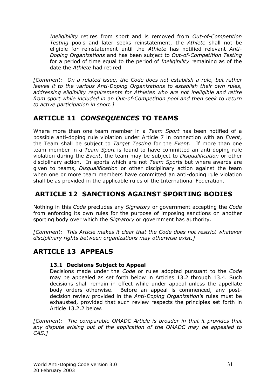<span id="page-30-0"></span>*Ineligibility* retires from sport and is removed from *Out-of-Competition Testing* pools and later seeks reinstatement, the *Athlete* shall not be eligible for reinstatement until the *Athlete* has notified relevant *Anti-Doping Organizations* and has been subject to *Out-of-Competition Testing* for a period of time equal to the period of *Ineligibility* remaining as of the date the *Athlete* had retired.

*[Comment: On a related issue, the Code does not establish a rule, but rather leaves it to the various Anti-Doping Organizations to establish their own rules, addressing eligibility requirements for Athletes who are not ineligible and retire from sport while included in an Out-of-Competition pool and then seek to return to active participation in sport.]* 

# **ARTICLE 11** *CONSEQUENCES* **TO TEAMS**

Where more than one team member in a *Team Sport* has been notified of a possible anti-doping rule violation under Article 7 in connection with an *Event*, the Team shall be subject to *Target Testing* for the *Event*. If more than one team member in a *Team Sport* is found to have committed an anti-doping rule violation during the *Event*, the team may be subject to *Disqualification* or other disciplinary action. In sports which are not *Team Sports* but where awards are given to teams, *Disqualification* or other disciplinary action against the team when one or more team members have committed an anti-doping rule violation shall be as provided in the applicable rules of the International Federation.

# **ARTICLE 12 SANCTIONS AGAINST SPORTING BODIES**

Nothing in this *Code* precludes any *Signatory* or government accepting the *Code* from enforcing its own rules for the purpose of imposing sanctions on another sporting body over which the *Signatory* or government has authority.

*[Comment: This Article makes it clear that the Code does not restrict whatever disciplinary rights between organizations may otherwise exist.]*

# **ARTICLE 13 APPEALS**

## **13.1 Decisions Subject to Appeal**

Decisions made under the *Code* or rules adopted pursuant to the *Code* may be appealed as set forth below in Articles 13.2 through 13.4. Such decisions shall remain in effect while under appeal unless the appellate body orders otherwise. Before an appeal is commenced, any postdecision review provided in the *Anti-Doping Organization's* rules must be exhausted, provided that such review respects the principles set forth in Article 13.2.2 below.

*[Comment: The comparable OMADC Article is broader in that it provides that any dispute arising out of the application of the OMADC may be appealed to CAS.]*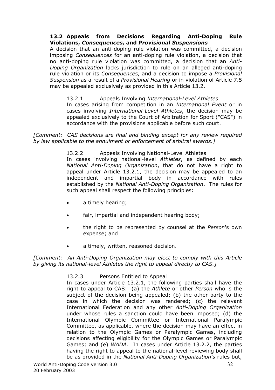## <span id="page-31-0"></span>**13.2 Appeals from Decisions Regarding Anti-Doping Rule Violations,** *Consequences***, and** *Provisional Suspensions*

A decision that an anti-doping rule violation was committed, a decision imposing *Consequences* for an anti-doping rule violation, a decision that no anti-doping rule violation was committed, a decision that an *Anti-Doping Organization* lacks jurisdiction to rule on an alleged anti-doping rule violation or its *Consequences*, and a decision to impose a *Provisional Suspension* as a result of a *Provisional Hearing* or in violation of Article 7.5 may be appealed exclusively as provided in this Article 13.2.

#### 13.2.1 Appeals Involving *International-Level Athletes* In cases arising from competition in an *International Event* or in cases involving *International-Level Athletes*, the decision may be appealed exclusively to the Court of Arbitration for Sport ("CAS") in accordance with the provisions applicable before such court.

*[Comment: CAS decisions are final and binding except for any review required by law applicable to the annulment or enforcement of arbitral awards.]* 

# 13.2.2 Appeals Involving National-Level Athletes

In cases involving national-level *Athletes*, as defined by each *National Anti-Doping Organization*, that do not have a right to appeal under Article 13.2.1, the decision may be appealed to an independent and impartial body in accordance with rules established by the *National Anti-Doping Organization*. The rules for such appeal shall respect the following principles:

- a timely hearing;
- fair, impartial and independent hearing body;
- the right to be represented by counsel at the *Person*'s own expense; and
- a timely, written, reasoned decision.

*[Comment: An Anti-Doping Organization may elect to comply with this Article by giving its national-level Athletes the right to appeal directly to CAS.]* 

## 13.2.3 Persons Entitled to Appeal

In cases under Article 13.2.1, the following parties shall have the right to appeal to CAS: (a) the *Athlete* or other *Person* who is the subject of the decision being appealed; (b) the other party to the case in which the decision was rendered; (c) the relevant International Federation and any other *Anti-Doping Organization* under whose rules a sanction could have been imposed; (d) the International Olympic Committee or International Paralympic Committee, as applicable, where the decision may have an effect in relation to the Olympic Games or Paralympic Games, including decisions affecting eligibility for the Olympic Games or Paralympic Games; and (e) *WADA*. In cases under Article 13.2.2, the parties having the right to appeal to the national-level reviewing body shall be as provided in the *National Anti-Doping Organization's* rules but,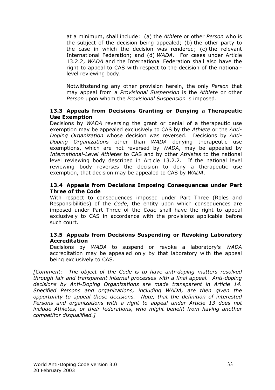<span id="page-32-0"></span>at a minimum, shall include: (a) the *Athlete* or other *Person* who is the subject of the decision being appealed; (b) the other party to the case in which the decision was rendered; (c) the relevant International Federation; and (d) *WADA*. For cases under Article 13.2.2, *WADA* and the International Federation shall also have the right to appeal to CAS with respect to the decision of the nationallevel reviewing body.

Notwithstanding any other provision herein, the only *Person* that may appeal from a *Provisional Suspension* is the *Athlete* or other *Person* upon whom the *Provisional Suspension* is imposed.

#### **13.3 Appeals from Decisions Granting or Denying a Therapeutic Use Exemption**

Decisions by *WADA* reversing the grant or denial of a therapeutic use exemption may be appealed exclusively to CAS by the *Athlete* or the *Anti-Doping Organization* whose decision was reversed. Decisions by *Anti-Doping Organizations* other than *WADA* denying therapeutic use exemptions, which are not reversed by *WADA*, may be appealed by *International-Level Athletes* to CAS and by other *Athletes* to the national level reviewing body described in Article 13.2.2. If the national level reviewing body reverses the decision to deny a therapeutic use exemption, that decision may be appealed to CAS by *WADA*.

#### **13.4 Appeals from Decisions Imposing Consequences under Part Three of the Code**

With respect to consequences imposed under Part Three (Roles and Responsibilities) of the *Code*, the entity upon which consequences are imposed under Part Three of the *Code* shall have the right to appeal exclusively to CAS in accordance with the provisions applicable before such court.

## **13.5 Appeals from Decisions Suspending or Revoking Laboratory Accreditation**

Decisions by *WADA* to suspend or revoke a laboratory's *WADA* accreditation may be appealed only by that laboratory with the appeal being exclusively to CAS.

*[Comment: The object of the Code is to have anti-doping matters resolved through fair and transparent internal processes with a final appeal. Anti-doping decisions by Anti-Doping Organizations are made transparent in Article 14. Specified Persons and organizations, including WADA, are then given the opportunity to appeal those decisions. Note, that the definition of interested Persons and organizations with a right to appeal under Article 13 does not include Athletes, or their federations, who might benefit from having another competitor disqualified.]*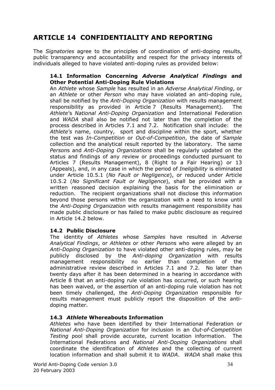# <span id="page-33-0"></span>**ARTICLE 14 CONFIDENTIALITY AND REPORTING**

The *Signatories* agree to the principles of coordination of anti-doping results, public transparency and accountability and respect for the privacy interests of individuals alleged to have violated anti-doping rules as provided below:

## **14.1 Information Concerning** *Adverse Analytical Findings* **and Other Potential Anti-Doping Rule Violations**

An *Athlete* whose *Sample* has resulted in an *Adverse Analytical Finding*, or an *Athlete* or other *Person* who may have violated an anti-doping rule, shall be notified by the *Anti-Doping Organization* with results management responsibility as provided in Article 7 (Results Management). The *Athlete*'s *National Anti-Doping Organization* and International Federation and *WADA* shall also be notified not later than the completion of the process described in Articles 7.1 and 7.2. Notification shall include: the *Athlete's* name, country, sport and discipline within the sport, whether the test was *In-Competition* or *Out-of-Competition*, the date of *Sample* collection and the analytical result reported by the laboratory. The same *Person*s and *Anti-Doping Organizations* shall be regularly updated on the status and findings of any review or proceedings conducted pursuant to Articles 7 (Results Management), 8 (Right to a Fair Hearing) or 13 (Appeals), and, in any case in which the period of *Ineligibility* is eliminated under Article 10.5.1 (*No Fault or Negligence*), or reduced under Article 10.5.2 (*No Significant Fault or Negligence*), shall be provided with a written reasoned decision explaining the basis for the elimination or reduction. The recipient organizations shall not disclose this information beyond those persons within the organization with a need to know until the *Anti-Doping Organization* with results management responsibility has made public disclosure or has failed to make public disclosure as required in Article 14.2 below.

## **14.2 Public Disclosure**

The identity of *Athletes* whose *Samples* have resulted in *Adverse Analytical Findings*, or *Athletes* or other *Person*s who were alleged by an *Anti-Doping Organization* to have violated other anti-doping rules, may be publicly disclosed by the *Anti-doping Organization* with results management responsibility no earlier than completion of the administrative review described in Articles 7.1 and 7.2. No later than twenty days after it has been determined in a hearing in accordance with Article 8 that an anti-doping rule violation has occurred, or such hearing has been waived, or the assertion of an anti-doping rule violation has not been timely challenged, the *Anti-Doping Organization* responsible for results management must publicly report the disposition of the antidoping matter.

## **14.3** *Athlete* **Whereabouts Information**

*Athletes* who have been identified by their International Federation or *National Anti-Doping Organization* for inclusion in an *Out-of-Competition Testing* pool shall provide accurate, current location information. The International Federations and *National Anti-Doping Organizations* shall coordinate the identification of *Athletes* and the collecting of current location information and shall submit it to *WADA*. *WADA* shall make this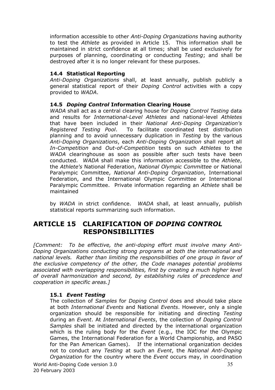<span id="page-34-0"></span>information accessible to other *Anti-Doping Organizations* having authority to test the *Athlete* as provided in Article 15. This information shall be maintained in strict confidence at all times; shall be used exclusively for purposes of planning, coordinating or conducting *Testing*; and shall be destroyed after it is no longer relevant for these purposes.

## **14.4 Statistical Reporting**

*Anti-Doping Organizations* shall, at least annually, publish publicly a general statistical report of their *Doping Control* activities with a copy provided to *WADA*.

## **14.5** *Doping Control* **Information Clearing House**

*WADA* shall act as a central clearing house for *Doping Control Testing* data and results for *International-Level Athletes* and national-level *Athletes* that have been included in their *National Anti-Doping Organization's Registered Testing Pool*. To facilitate coordinated test distribution planning and to avoid unnecessary duplication in *Testing* by the various *Anti-Doping Organizations*, each *Anti-Doping Organization* shall report all *In-Competition* and *Out-of-Competition* tests on such *Athletes* to the *WADA* clearinghouse as soon as possible after such tests have been conducted. *WADA* shall make this information accessible to the *Athlete*, the *Athlete's* National Federation, *National Olympic Committee* or National Paralympic Committee, *National Anti-Doping Organization*, International Federation, and the International Olympic Committee or International Paralympic Committee. Private information regarding an *Athlete* shall be maintained

by *WADA* in strict confidence. *WADA* shall, at least annually, publish statistical reports summarizing such information.

# **ARTICLE 15 CLARIFICATION OF** *DOPING CONTROL* **RESPONSIBILITIES**

*[Comment: To be effective, the anti-doping effort must involve many Anti-Doping Organizations conducting strong programs at both the international and national levels. Rather than limiting the responsibilities of one group in favor of the exclusive competency of the other, the Code manages potential problems associated with overlapping responsibilities, first by creating a much higher level of overall harmonization and second, by establishing rules of precedence and cooperation in specific areas.]*

## **15.1** *Event Testing*

The collection of *Samples* for *Doping Control* does and should take place at both *International Events* and National *Events*. However, only a single organization should be responsible for initiating and directing *Testing* during an *Event*. At *International Events*, the collection of *Doping Control Samples* shall be initiated and directed by the international organization which is the ruling body for the *Event* (e.g., the IOC for the Olympic Games, the International Federation for a World Championship, and PASO for the Pan American Games). If the international organization decides not to conduct any *Testing* at such an *Event*, the *National Anti-Doping Organization* for the country where the *Event* occurs may, in coordination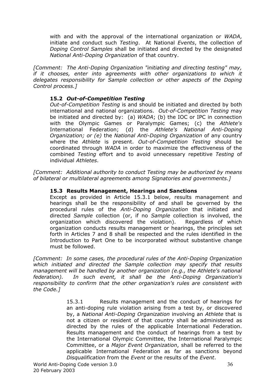<span id="page-35-0"></span>with and with the approval of the international organization or *WADA*, initiate and conduct such *Testing*. At National *Events*, the collection of *Doping Control Samples* shall be initiated and directed by the designated *National Anti-Doping Organization* of that country.

*[Comment: The Anti-Doping Organization "initiating and directing testing" may, if it chooses, enter into agreements with other organizations to which it delegates responsibility for Sample collection or other aspects of the Doping Control process.]*

## **15.2** *Out-of-Competition Testing*

*Out-of-Competition Testing* is and should be initiated and directed by both international and national organizations. *Out-of-Competition Testing* may be initiated and directed by: (a) *WADA*; (b) the IOC or IPC in connection with the Olympic Games or Paralympic Games; (c) the *Athlete's* International Federation; (d) the *Athlete's National Anti-Doping Organization; or (e)* the *National Anti-Doping Organization* of any country where the *Athlete* is present. *Out-of-Competition Testing* should be coordinated through *WADA* in order to maximize the effectiveness of the combined *Testing* effort and to avoid unnecessary repetitive *Testing* of individual *Athletes*.

*[Comment: Additional authority to conduct Testing may be authorized by means of bilateral or multilateral agreements among Signatories and governments.]*

## **15.3 Results Management, Hearings and Sanctions**

Except as provided in Article 15.3.1 below, results management and hearings shall be the responsibility of and shall be governed by the procedural rules of the *Anti-Doping Organization* that initiated and directed *Sample* collection (or, if no *Sample* collection is involved, the organization which discovered the violation). Regardless of which organization conducts results management or hearings, the principles set forth in Articles 7 and 8 shall be respected and the rules identified in the Introduction to Part One to be incorporated without substantive change must be followed.

*[Comment: In some cases, the procedural rules of the Anti-Doping Organization which initiated and directed the Sample collection may specify that results management will be handled by another organization (e.g., the Athlete's national federation). In such event, it shall be the Anti-Doping Organization's responsibility to confirm that the other organization's rules are consistent with the Code.]*

> 15.3.1Results management and the conduct of hearings for an anti-doping rule violation arising from a test by, or discovered by, a *National Anti-Doping Organization* involving an *Athlete* that is not a citizen or resident of that country shall be administered as directed by the rules of the applicable International Federation. Results management and the conduct of hearings from a test by the International Olympic Committee, the International Paralympic Committee, or a *Major Event Organization*, shall be referred to the applicable International Federation as far as sanctions beyond *Disqualification* from the *Event* or the results of the *Event*.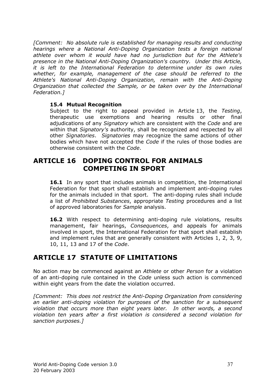<span id="page-36-0"></span>*[Comment: No absolute rule is established for managing results and conducting hearings where a National Anti-Doping Organization tests a foreign national athlete over whom it would have had no jurisdiction but for the Athlete's presence in the National Anti-Doping Organization's country. Under this Article, it is left to the International Federation to determine under its own rules whether, for example, management of the case should be referred to the Athlete's National Anti-Doping Organization, remain with the Anti-Doping Organization that collected the Sample, or be taken over by the International Federation.]*

## **15.4 Mutual Recognition**

Subject to the right to appeal provided in Article 13, the *Testing*, therapeutic use exemptions and hearing results or other final adjudications of any *Signatory* which are consistent with the *Code* and are within that *Signatory's* authority, shall be recognized and respected by all other *Signatories*. *Signatories* may recognize the same actions of other bodies which have not accepted the *Code* if the rules of those bodies are otherwise consistent with the *Code*.

# **ARTICLE 16 DOPING CONTROL FOR ANIMALS COMPETING IN SPORT**

16.1 In any sport that includes animals in competition, the International Federation for that sport shall establish and implement anti-doping rules for the animals included in that sport. The anti-doping rules shall include a list of *Prohibited Substances*, appropriate *Testing* procedures and a list of approved laboratories for *Sample* analysis.

**16.2** With respect to determining anti-doping rule violations, results management, fair hearings, *Consequences*, and appeals for animals involved in sport, the International Federation for that sport shall establish and implement rules that are generally consistent with Articles 1, 2, 3, 9, 10, 11, 13 and 17 of the *Code*.

# **ARTICLE 17 STATUTE OF LIMITATIONS**

No action may be commenced against an *Athlete* or other *Person* for a violation of an anti-doping rule contained in the *Code* unless such action is commenced within eight years from the date the violation occurred.

*[Comment: This does not restrict the Anti-Doping Organization from considering an earlier anti-doping violation for purposes of the sanction for a subsequent violation that occurs more than eight years later. In other words, a second violation ten years after a first violation is considered a second violation for sanction purposes.]*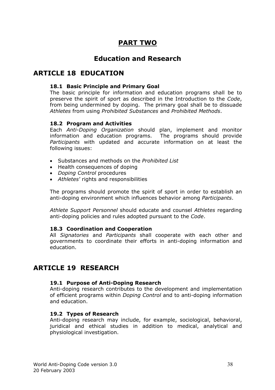# **PART TWO**

# **Education and Research**

# <span id="page-37-0"></span>**ARTICLE 18 EDUCATION**

## **18.1 Basic Principle and Primary Goal**

The basic principle for information and education programs shall be to preserve the spirit of sport as described in the Introduction to the *Code*, from being undermined by doping. The primary goal shall be to dissuade *Athletes* from using *Prohibited Substances* and *Prohibited Methods*.

## **18.2 Program and Activities**

Each *Anti-Doping Organization* should plan, implement and monitor information and education programs. The programs should provide *Participants* with updated and accurate information on at least the following issues:

- Substances and methods on the *Prohibited List*
- Health consequences of doping
- *Doping Control* procedures
- *Athletes'* rights and responsibilities

The programs should promote the spirit of sport in order to establish an anti-doping environment which influences behavior among *Participants*.

*Athlete Support Personnel* should educate and counsel *Athletes* regarding anti-doping policies and rules adopted pursuant to the *Code*.

## **18.3 Coordination and Cooperation**

All *Signatories* and *Participants* shall cooperate with each other and governments to coordinate their efforts in anti-doping information and education.

# **ARTICLE 19 RESEARCH**

## **19.1 Purpose of Anti-Doping Research**

Anti-doping research contributes to the development and implementation of efficient programs within *Doping Control* and to anti-doping information and education.

## **19.2 Types of Research**

Anti-doping research may include, for example, sociological, behavioral, juridical and ethical studies in addition to medical, analytical and physiological investigation.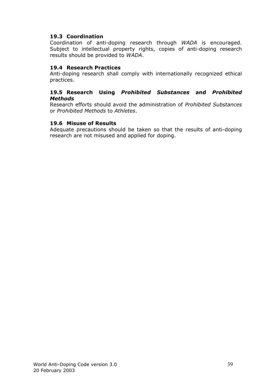## <span id="page-38-0"></span>**19.3 Coordination**

Coordination of anti-doping research through *WADA* is encouraged. Subject to intellectual property rights, copies of anti-doping research results should be provided to *WADA*.

## **19.4 Research Practices**

Anti-doping research shall comply with internationally recognized ethical practices.

#### **19.5 Research Using** *Prohibited Substances* **and** *Prohibited Methods*

Research efforts should avoid the administration of *Prohibited Substances* or *Prohibited Methods* to *Athletes*.

#### **19.6 Misuse of Results**

Adequate precautions should be taken so that the results of anti-doping research are not misused and applied for doping.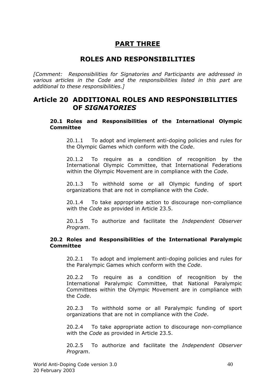# **PART THREE**

# **ROLES AND RESPONSIBILITIES**

<span id="page-39-0"></span>*[Comment: Responsibilities for Signatories and Participants are addressed in various articles in the Code and the responsibilities listed in this part are additional to these responsibilities.]* 

# **Article 20 ADDITIONAL ROLES AND RESPONSIBILITIES OF** *SIGNATORIES*

**20.1 Roles and Responsibilities of the International Olympic Committee** 

20.1.1 To adopt and implement anti-doping policies and rules for the Olympic Games which conform with the *Code*.

20.1.2 To require as a condition of recognition by the International Olympic Committee, that International Federations within the Olympic Movement are in compliance with the *Code*.

20.1.3 To withhold some or all Olympic funding of sport organizations that are not in compliance with the *Code*.

20.1.4 To take appropriate action to discourage non-compliance with the *Code* as provided in Article 23.5.

20.1.5 To authorize and facilitate the *Independent Observe*r *Program*.

## **20.2 Roles and Responsibilities of the International Paralympic Committee**

20.2.1 To adopt and implement anti-doping policies and rules for the Paralympic Games which conform with the *Code*.

20.2.2 To require as a condition of recognition by the International Paralympic Committee, that National Paralympic Committees within the Olympic Movement are in compliance with the *Code*.

20.2.3 To withhold some or all Paralympic funding of sport organizations that are not in compliance with the *Code*.

20.2.4 To take appropriate action to discourage non-compliance with the *Code* as provided in Article 23.5.

20.2.5 To authorize and facilitate the *Independent Observer Program*.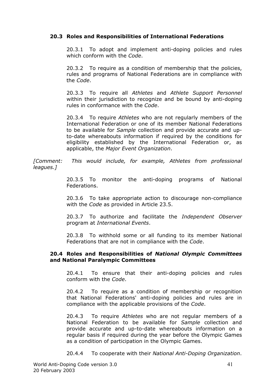## <span id="page-40-0"></span>**20.3 Roles and Responsibilities of International Federations**

20.3.1 To adopt and implement anti-doping policies and rules which conform with the *Code*.

20.3.2 To require as a condition of membership that the policies, rules and programs of National Federations are in compliance with the *Code*.

20.3.3 To require all *Athletes* and *Athlete Support Personnel* within their jurisdiction to recognize and be bound by anti-doping rules in conformance with the *Code*.

20.3.4 To require *Athletes* who are not regularly members of the International Federation or one of its member National Federations to be available for *Sample* collection and provide accurate and upto-date whereabouts information if required by the conditions for eligibility established by the International Federation or, as applicable, the *Major Event Organization*.

*[Comment: This would include, for example, Athletes from professional leagues.]* 

> 20.3.5 To monitor the anti-doping programs of National Federations.

> 20.3.6 To take appropriate action to discourage non-compliance with the *Code* as provided in Article 23.5.

> 20.3.7 To authorize and facilitate the *Independent Observer* program at *International Events*.

> 20.3.8 To withhold some or all funding to its member National Federations that are not in compliance with the *Code*.

## **20.4 Roles and Responsibilities of** *National Olympic Committees* **and National Paralympic Committees**

20.4.1 To ensure that their anti-doping policies and rules conform with the *Code*.

20.4.2 To require as a condition of membership or recognition that National Federations' anti-doping policies and rules are in compliance with the applicable provisions of the *Code*.

20.4.3 To require *Athletes* who are not regular members of a National Federation to be available for *Sample* collection and provide accurate and up-to-date whereabouts information on a regular basis if required during the year before the Olympic Games as a condition of participation in the Olympic Games.

20.4.4 To cooperate with their *National Anti-Doping Organization*.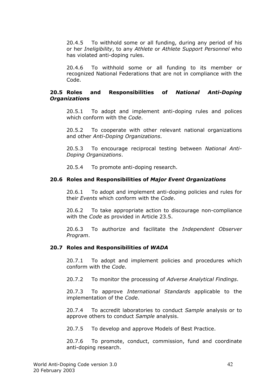<span id="page-41-0"></span>20.4.5 To withhold some or all funding, during any period of his or her *Ineligibility*, to any *Athlete* or *Athlete Support Personnel* who has violated anti-doping rules.

20.4.6 To withhold some or all funding to its member or recognized National Federations that are not in compliance with the Code.

## **20.5 Roles and Responsibilities of** *National Anti-Doping Organization***s**

20.5.1 To adopt and implement anti-doping rules and polices which conform with the *Code*.

20.5.2 To cooperate with other relevant national organizations and other *Anti-Doping Organizations*.

20.5.3 To encourage reciprocal testing between *National Anti-Doping Organizations*.

20.5.4 To promote anti-doping research.

#### **20.6 Roles and Responsibilities of** *Major Event Organizations*

20.6.1 To adopt and implement anti-doping policies and rules for their *Events* which conform with the *Code*.

20.6.2 To take appropriate action to discourage non-compliance with the *Code* as provided in Article 23.5.

20.6.3 To authorize and facilitate the *Independent Observer Program*.

## **20.7 Roles and Responsibilities of** *WADA*

20.7.1 To adopt and implement policies and procedures which conform with the *Code*.

20.7.2 To monitor the processing of *Adverse Analytical Findings*.

20.7.3 To approve *International Standards* applicable to the implementation of the *Code*.

20.7.4 To accredit laboratories to conduct *Sample* analysis or to approve others to conduct *Sample* analysis.

20.7.5 To develop and approve Models of Best Practice.

20.7.6 To promote, conduct, commission, fund and coordinate anti-doping research.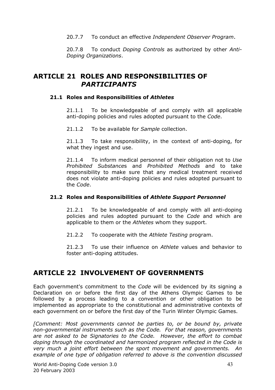<span id="page-42-0"></span>20.7.7 To conduct an effective *Independent Observer Program*.

20.7.8 To conduct *Doping Controls* as authorized by other *Anti-Doping Organizations*.

# **ARTICLE 21 ROLES AND RESPONSIBILITIES OF**  *PARTICIPANTS*

## **21.1 Roles and Responsibilities of** *Athletes*

21.1.1 To be knowledgeable of and comply with all applicable anti-doping policies and rules adopted pursuant to the *Code*.

21.1.2 To be available for *Sample* collection.

21.1.3 To take responsibility, in the context of anti-doping, for what they ingest and use.

21.1.4 To inform medical personnel of their obligation not to *Use Prohibited Substance*s and *Prohibited Methods* and to take responsibility to make sure that any medical treatment received does not violate anti-doping policies and rules adopted pursuant to the *Code*.

## **21.2 Roles and Responsibilities of** *Athlete Support Personnel*

21.2.1 To be knowledgeable of and comply with all anti-doping policies and rules adopted pursuant to the *Code* and which are applicable to them or the *Athletes* whom they support.

21.2.2 To cooperate with the *Athlete Testing* program.

21.2.3 To use their influence on *Athlete* values and behavior to foster anti-doping attitudes.

# **ARTICLE 22 INVOLVEMENT OF GOVERNMENTS**

Each government's commitment to the *Code* will be evidenced by its signing a Declaration on or before the first day of the Athens Olympic Games to be followed by a process leading to a convention or other obligation to be implemented as appropriate to the constitutional and administrative contexts of each government on or before the first day of the Turin Winter Olympic Games.

*[Comment: Most governments cannot be parties to, or be bound by, private non-governmental instruments such as the Code. For that reason, governments are not asked to be Signatories to the Code. However, the effort to combat doping through the coordinated and harmonized program reflected in the Code is very much a joint effort between the sport movement and governments. An example of one type of obligation referred to above is the convention discussed*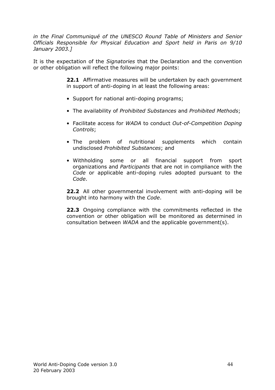*in the Final Communiqué of the UNESCO Round Table of Ministers and Senior Officials Responsible for Physical Education and Sport held in Paris on 9/10 January 2003.]* 

It is the expectation of the *Signatories* that the Declaration and the convention or other obligation will reflect the following major points:

> **22.1** Affirmative measures will be undertaken by each government in support of anti-doping in at least the following areas:

- Support for national anti-doping programs;
- The availability of *Prohibited Substances* and *Prohibited Methods*;
- Facilitate access for *WADA* to conduct *Out-of-Competition Doping Controls*;
- The problem of nutritional supplements which contain undisclosed *Prohibited Substances*; and
- Withholding some or all financial support from sport organizations and *Participants* that are not in compliance with the *Code* or applicable anti-doping rules adopted pursuant to the *Code*.

**22.2** All other governmental involvement with anti-doping will be brought into harmony with the *Code*.

**22.3** Ongoing compliance with the commitments reflected in the convention or other obligation will be monitored as determined in consultation between *WADA* and the applicable government(s).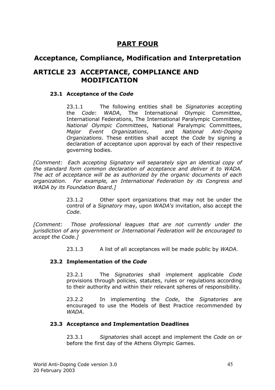# **PART FOUR**

# <span id="page-44-0"></span>**Acceptance, Compliance, Modification and Interpretation**

# **ARTICLE 23 ACCEPTANCE, COMPLIANCE AND MODIFICATION**

## **23.1 Acceptance of the** *Code*

23.1.1The following entities shall be *Signatories* accepting the *Code*: *WADA*, The International Olympic Committee, International Federations, The International Paralympic Committee, *National Olympic Committees*, National Paralympic Committees, *Major Event Organizations*, and *National Anti-Doping Organizations*. These entities shall accept the *Code* by signing a declaration of acceptance upon approval by each of their respective governing bodies.

*[Comment: Each accepting Signatory will separately sign an identical copy of the standard form common declaration of acceptance and deliver it to WADA. The act of acceptance will be as authorized by the organic documents of each organization. For example, an International Federation by its Congress and WADA by its Foundation Board.]* 

> 23.1.2 Other sport organizations that may not be under the control of a *Signatory* may, upon *WADA's* invitation, also accept the *Code*.

*[Comment: Those professional leagues that are not currently under the jurisdiction of any government or International Federation will be encouraged to accept the Code.]* 

23.1.3 A list of all acceptances will be made public by *WADA*.

## **23.2 Implementation of the** *Code*

23.2.1 The *Signatories* shall implement applicable *Code* provisions through policies, statutes, rules or regulations according to their authority and within their relevant spheres of responsibility.

23.2.2 In implementing the *Code*, the *Signatories* are encouraged to use the Models of Best Practice recommended by *WADA*.

## **23.3 Acceptance and Implementation Deadlines**

23.3.1 *Signatories* shall accept and implement the *Code* on or before the first day of the Athens Olympic Games.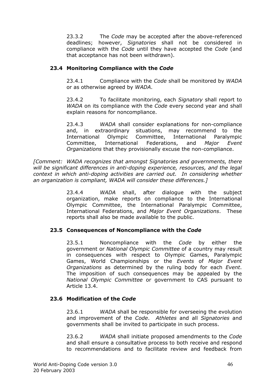<span id="page-45-0"></span>23.3.2 The *Code* may be accepted after the above-referenced deadlines; however, *Signatories* shall not be considered in compliance with the *Code* until they have accepted the *Code* (and that acceptance has not been withdrawn).

## **23.4 Monitoring Compliance with the** *Code*

23.4.1 Compliance with the *Code* shall be monitored by *WADA* or as otherwise agreed by *WADA*.

23.4.2 To facilitate monitoring, each *Signatory* shall report to *WADA* on its compliance with the *Code* every second year and shall explain reasons for noncompliance.

23.4.3 *WADA* shall consider explanations for non-compliance and, in extraordinary situations, may recommend to the International Olympic Committee, International Paralympic Committee, International Federations, and *Major Event Organizations* that they provisionally excuse the non-compliance.

*[Comment: WADA recognizes that amongst Signatories and governments, there will be significant differences in anti-doping experience, resources, and the legal context in which anti-doping activities are carried out. In considering whether an organization is compliant, WADA will consider these differences.]*

> 23.4.4 *WADA* shall, after dialogue with the subject organization, make reports on compliance to the International Olympic Committee, the International Paralympic Committee, International Federations, and *Major Event Organizations*. These reports shall also be made available to the public.

## **23.5 Consequences of Noncompliance with the** *Code*

23.5.1 Noncompliance with the *Code* by either the government or *National Olympic Committee* of a country may result in consequences with respect to Olympic Games, Paralympic Games, World Championships or the *Events* of *Major Event Organizations* as determined by the ruling body for each *Event*. The imposition of such consequences may be appealed by the *National Olympic Committee* or government to CAS pursuant to Article 13.4.

## **23.6 Modification of the** *Code*

23.6.1 *WADA* shall be responsible for overseeing the evolution and improvement of the *Code*. *Athletes* and all *Signatories* and governments shall be invited to participate in such process.

23.6.2 *WADA* shall initiate proposed amendments to the *Code* and shall ensure a consultative process to both receive and respond to recommendations and to facilitate review and feedback from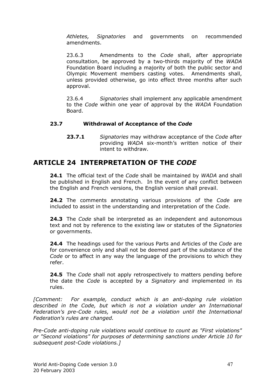<span id="page-46-0"></span>*Athletes, Signatories* and governments on recommended amendments.

23.6.3 Amendments to the *Code* shall, after appropriate consultation, be approved by a two-thirds majority of the *WADA* Foundation Board including a majority of both the public sector and Olympic Movement members casting votes. Amendments shall, unless provided otherwise, go into effect three months after such approval.

23.6.4 *Signatories* shall implement any applicable amendment to the *Code* within one year of approval by the *WADA* Foundation Board.

## **23.7 Withdrawal of Acceptance of the** *Code*

**23.7.1** *Signatories* may withdraw acceptance of the *Code* after providing *WADA* six-month's written notice of their intent to withdraw.

# **ARTICLE 24 INTERPRETATION OF THE** *CODE*

**24.1** The official text of the *Code* shall be maintained by *WADA* and shall be published in English and French. In the event of any conflict between the English and French versions, the English version shall prevail.

**24.2** The comments annotating various provisions of the *Code* are included to assist in the understanding and interpretation of the *Code*.

**24.3** The *Code* shall be interpreted as an independent and autonomous text and not by reference to the existing law or statutes of the *Signatories* or governments.

**24.4** The headings used for the various Parts and Articles of the *Code* are for convenience only and shall not be deemed part of the substance of the *Code* or to affect in any way the language of the provisions to which they refer.

**24.5** The *Code* shall not apply retrospectively to matters pending before the date the *Code* is accepted by a *Signatory* and implemented in its rules.

*[Comment: For example, conduct which is an anti-doping rule violation described in the Code, but which is not a violation under an International Federation's pre-Code rules, would not be a violation until the International Federation's rules are changed.* 

*Pre-Code anti-doping rule violations would continue to count as "First violations" or "Second violations" for purposes of determining sanctions under Article 10 for subsequent post-Code violations.]*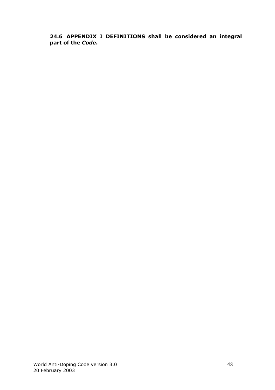**24.6 APPENDIX I DEFINITIONS shall be considered an integral part of the** *Code***.**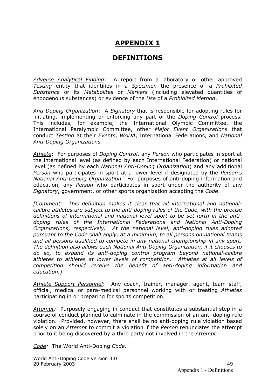# **APPENDIX 1**

# **DEFINITIONS**

*Adverse Analytical Finding*: A report from a laboratory or other approved *Testing* entity that identifies in a *Specimen* the presence of a *Prohibited Substance* or its *Metabolites* or *Markers* (including elevated quantities of endogenous substances) or evidence of the *Use* of a *Prohibited Method*.

*Anti-Doping Organization*: A *Signatory* that is responsible for adopting rules for initiating, implementing or enforcing any part of the *Doping Control* process. This includes, for example, the International Olympic Committee, the International Paralympic Committee, other *Major Event Organizations* that conduct *Testing* at their *Events*, *WADA*, International Federations, and *National Anti-Doping Organizations.*

*Athlete*: For purposes of *Doping Control*, any *Person* who participates in sport at the international level (as defined by each International Federation) or national level (as defined by each *National Anti-Doping Organization*) and any additional *Person* who participates in sport at a lower level if designated by the *Person's National Anti-Doping Organization*. For purposes of anti-doping information and education, any *Person* who participates in sport under the authority of any *Signatory*, government, or other sports organization accepting the *Code*.

*[Comment: This definition makes it clear that all international and nationalcalibre athletes are subject to the anti-doping rules of the Code, with the precise definitions of international and national level sport to be set forth in the antidoping rules of the International Federations and National Anti-Doping Organizations, respectively. At the national level, anti-doping rules adopted pursuant to the Code shall apply, at a minimum, to all persons on national teams and all persons qualified to compete in any national championship in any sport. The definition also allows each National Anti-Doping Organization, if it chooses to do so, to expand its anti-doping control program beyond national-calibre athletes to athletes at lower levels of competition. Athletes at all levels of competition should receive the benefit of anti-doping information and education.]*

*Athlete Support Personnel*: Any coach, trainer, manager, agent, team staff, official, medical or para-medical personnel working with or treating *Athletes* participating in or preparing for sports competition.

*Attempt:* Purposely engaging in conduct that constitutes a substantial step in a course of conduct planned to culminate in the commission of an anti-doping rule violation. Provided, however, there shall be no anti-doping rule violation based solely on an *Attempt* to commit a violation if the *Person* renunciates the attempt prior to it being discovered by a third party not involved in the *Attempt*.

*Code:* The World Anti-Doping *Code*.

World Anti-Doping Code version 3.0 20 February 2003 49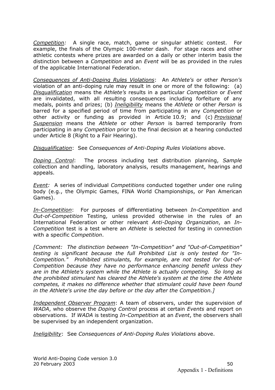*Competition:* A single race, match, game or singular athletic contest. For example, the finals of the Olympic 100-meter dash. For stage races and other athletic contests where prizes are awarded on a daily or other interim basis the distinction between a *Competition* and an *Event* will be as provided in the rules of the applicable International Federation.

*Consequences of Anti-Doping Rules Violations*: An *Athlete's* or other *Person's* violation of an anti-doping rule may result in one or more of the following: (a) *Disqualification* means the *Athlete's* results in a particular *Competition* or *Event* are invalidated, with all resulting consequences including forfeiture of any medals, points and prizes; (b) *Ineligibility* means the *Athlete* or other *Person* is barred for a specified period of time from participating in any *Competition* or other activity or funding as provided in Article 10.9; and (c) *Provisional Suspension* means the *Athlete* or other *Person* is barred temporarily from participating in any *Competition* prior to the final decision at a hearing conducted under Article 8 (Right to a Fair Hearing).

*Disqualification*: See *Consequences of Anti-Doping Rules Violations* above.

*Doping Control*: The process including test distribution planning, *Sample* collection and handling, laboratory analysis, results management, hearings and appeals.

*Event:* A series of individual *Competitions* conducted together under one ruling body (e.g., the Olympic Games, FINA World Championships, or Pan American Games).

*In-Competition*: For purposes of differentiating between *In-Competition* and *Out-of-Competition* Testing, unless provided otherwise in the rules of an International Federation or other relevant *Anti-Doping Organization*, an *In-Competition* test is a test where an *Athlete* is selected for testing in connection with a specific *Competition*.

*[Comment: The distinction between "In-Competition" and "Out-of-Competition" testing is significant because the full Prohibited List is only tested for "In-Competition." Prohibited stimulants, for example, are not tested for Out-of-Competition because they have no performance enhancing benefit unless they are in the Athlete's system while the Athlete is actually competing. So long as the prohibited stimulant has cleared the Athlete's system at the time the Athlete competes, it makes no difference whether that stimulant could have been found in the Athlete's urine the day before or the day after the Competition.]*

*Independent Observer Program*: A team of observers, under the supervision of *WADA*, who observe the *Doping Control* process at certain *Events* and report on observations. If *WADA* is testing *In-Competition* at an *Event*, the observers shall be supervised by an independent organization.

*Ineligibility*: See *Consequences of Anti-Doping Rules Violations* above.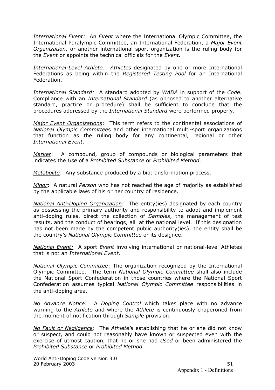*International Event:* An *Event* where the International Olympic Committee, the International Paralympic Committee, an International Federation, a *Major Event Organization,* or another international sport organization is the ruling body for the *Event* or appoints the technical officials for the *Event.* 

*International-Level Athlete: Athletes* designated by one or more International Federations as being within the *Registered Testing Pool* for an International Federation.

*International Standard:* A standard adopted by *WADA* in support of the *Code*. Compliance with an *International Standard* (as opposed to another alternative standard, practice or procedure) shall be sufficient to conclude that the procedures addressed by the *International Standard* were performed properly.

*Major Event Organizations*: This term refers to the continental associations of *National Olympic Committee*s and other international multi-sport organizations that function as the ruling body for any continental, regional or other *International Event*.

*Marker*: A compound, group of compounds or biological parameters that indicates the *Use* of a *Prohibited Substance* or *Prohibited Method.*

*Metabolite*: Any substance produced by a biotransformation process.

*Minor*: A natural *Person* who has not reached the age of majority as established by the applicable laws of his or her country of residence.

*National Anti-Doping Organization:* The entity(ies) designated by each country as possessing the primary authority and responsibility to adopt and implement anti-doping rules, direct the collection of *Samples*, the management of test results, and the conduct of hearings, all at the national level. If this designation has not been made by the competent public authority(ies), the entity shall be the country's *National Olympic Committee* or its designee.

*National Event:* A sport *Event* involving international or national-level Athletes that is not an *International Event*.

*National Olympic Committee*: The organization recognized by the International Olympic Committee. The term *National Olympic Committee* shall also include the National Sport Confederation in those countries where the National Sport Confederation assumes typical *National Olympic Committee* responsibilities in the anti-doping area.

*No Advance Notice*: A *Doping Control* which takes place with no advance warning to the *Athlete* and where the *Athlete* is continuously chaperoned from the moment of notification through *Sample* provision.

*No Fault or Negligence*: The *Athlete's* establishing that he or she did not know or suspect, and could not reasonably have known or suspected even with the exercise of utmost caution, that he or she had *Used* or been administered the *Prohibited Substance* or *Prohibited Method.*

World Anti-Doping Code version 3.0 20 February 2003 51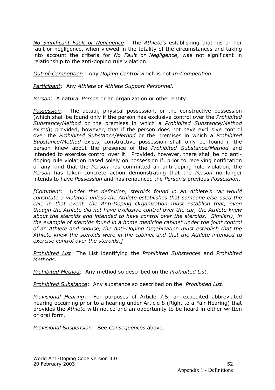*No Significant Fault or Negligence*: The *Athlete's* establishing that his or her fault or negligence, when viewed in the totality of the circumstances and taking into account the criteria for *No Fault or Negligence*, was not significant in relationship to the anti-doping rule violation.

*Out-of-Competition*: Any *Doping Control* which is not *In-Competition*.

*Participant:* Any *Athlete* or *Athlete Support Personnel*.

*Person*: A natural *Person* or an organization or other entity.

*Possession*: The actual, physical possession, or the constructive possession (which shall be found only if the person has exclusive control over the *Prohibited Substance/Method* or the premises in which a *Prohibited Substance/Method* exists); provided, however, that if the person does not have exclusive control over the *Prohibited Substance/Method* or the premises in which a *Prohibited Substance/Method* exists, constructive possession shall only be found if the person knew about the presence of the *Prohibited Substance/Method* and intended to exercise control over it. Provided, however, there shall be no antidoping rule violation based solely on possession if, prior to receiving notification of any kind that the *Person* has committed an anti-doping rule violation, the *Person* has taken concrete action demonstrating that the *Person* no longer intends to have *Possession* and has renounced the *Person's* previous *Possession*.

*[Comment: Under this definition, steroids found in an Athlete's car would constitute a violation unless the Athlete establishes that someone else used the car; in that event, the Anti-Doping Organization must establish that, even though the Athlete did not have exclusive control over the car, the Athlete knew about the steroids and intended to have control over the steroids. Similarly, in the example of steroids found in a home medicine cabinet under the joint control of an Athlete and spouse, the Anti-Doping Organization must establish that the Athlete knew the steroids were in the cabinet and that the Athlete intended to exercise control over the steroids.]* 

*Prohibited List*: The List identifying the *Prohibited Substances* and *Prohibited Methods*.

*Prohibited Method*: Any method so described on the *Prohibited List*.

*Prohibited Substance*: Any substance so described on the *Prohibited List*.

*Provisional Hearing*: For purposes of Article 7.5, an expedited abbreviated hearing occurring prior to a hearing under Article 8 (Right to a Fair Hearing) that provides the *Athlete* with notice and an opportunity to be heard in either written or oral form.

*Provisional Suspension*: See *Consequences* above.